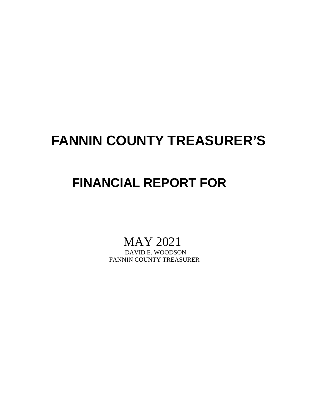## **FANNIN COUNTY TREASURER'S**

## **FINANCIAL REPORT FOR**

# MAY 2021<br>DAVID E. WOODSON

FANNIN COUNTY TREASURER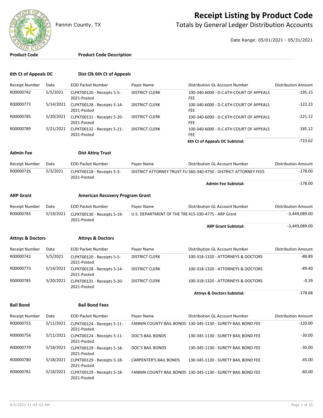

### **Receipt Listing by Product Code**

Fannin County, TX **The County of Totals by General Ledger Distribution Accounts** 

Date Range: 05/01/2021 - 05/31/2021

#### **Product Code Product Code Description**

| 6th Ct of Appeals DC        |           | Dist Clk 6th Ct of Appeals                 |                                                    |                                                                  |                            |
|-----------------------------|-----------|--------------------------------------------|----------------------------------------------------|------------------------------------------------------------------|----------------------------|
| Receipt Number              | Date      | <b>EOD Packet Number</b>                   | Payor Name                                         | Distribution GL Account Number                                   | <b>Distribution Amount</b> |
| R00000742                   | 5/5/2021  | CLPKT00120 - Receipts 5-5-<br>2021-Posted  | <b>DISTRICT CLERK</b>                              | 100-340-6000 - D.C.6TH COURT OF APPEALS<br>FEE                   | $-195.15$                  |
| R00000773                   | 5/14/2021 | CLPKT00128 - Receipts 5-14-<br>2021-Posted | <b>DISTRICT CLERK</b>                              | 100-340-6000 - D.C.6TH COURT OF APPEALS<br><b>FEE</b>            | $-122.23$                  |
| R00000785                   | 5/20/2021 | CLPKT00131 - Receipts 5-20-<br>2021-Posted | <b>DISTRICT CLERK</b>                              | 100-340-6000 - D.C.6TH COURT OF APPEALS<br><b>FEE</b>            | $-221.12$                  |
| R00000789                   | 5/21/2021 | CLPKT00132 - Receipts 5-21-<br>2021-Posted | <b>DISTRICT CLERK</b>                              | 100-340-6000 - D.C.6TH COURT OF APPEALS<br>FEE                   | $-185.12$                  |
|                             |           |                                            |                                                    | 6th Ct of Appeals DC Subtotal:                                   | $-723.62$                  |
| <b>Admin Fee</b>            |           | <b>Dist Attny Trust</b>                    |                                                    |                                                                  |                            |
| Receipt Number              | Date      | <b>EOD Packet Number</b>                   | Payor Name                                         | Distribution GL Account Number                                   | <b>Distribution Amount</b> |
| R00000726                   | 5/3/2021  | CLPKT00118 - Receipts 5-3-<br>2021-Posted  |                                                    | DISTRICT ATTORNEY TRUST FUI360-340-4750 - DISTRICT ATTORNEY FEES | $-178.00$                  |
|                             |           |                                            |                                                    | <b>Admin Fee Subtotal:</b>                                       | $-178.00$                  |
| <b>ARP Grant</b>            |           | <b>American Recovery Program Grant</b>     |                                                    |                                                                  |                            |
| Receipt Number              | Date      | <b>EOD Packet Number</b>                   | Payor Name                                         | Distribution GL Account Number                                   | <b>Distribution Amount</b> |
| R00000783<br>5/19/2021      |           | CLPKT00130 - Receipts 5-19-<br>2021-Posted | U.S. DEPARTMENT OF THE TRE415-330-4775 - ARP Grant |                                                                  | $-3,449,089.00$            |
|                             |           |                                            |                                                    | <b>ARP Grant Subtotal:</b>                                       | $-3,449,089.00$            |
| <b>Attnys &amp; Doctors</b> |           | <b>Attnys &amp; Doctors</b>                |                                                    |                                                                  |                            |
| Receipt Number              | Date      | <b>EOD Packet Number</b>                   | Payor Name                                         | Distribution GL Account Number                                   | <b>Distribution Amount</b> |
| R00000742                   | 5/5/2021  | CLPKT00120 - Receipts 5-5-<br>2021-Posted  | <b>DISTRICT CLERK</b>                              | 100-318-1320 - ATTORNEYS & DOCTORS                               | $-88.89$                   |
| R00000773                   | 5/14/2021 | CLPKT00128 - Receipts 5-14-<br>2021-Posted | <b>DISTRICT CLERK</b>                              | 100-318-1320 - ATTORNEYS & DOCTORS                               | $-89.40$                   |
| R00000785                   | 5/20/2021 | CLPKT00131 - Receipts 5-20-<br>2021-Posted | <b>DISTRICT CLERK</b>                              | 100-318-1320 - ATTORNEYS & DOCTORS                               | $-0.39$                    |
|                             |           |                                            |                                                    | <b>Attnys &amp; Doctors Subtotal:</b>                            | $-178.68$                  |
| <b>Bail Bond</b>            |           | <b>Bail Bond Fees</b>                      |                                                    |                                                                  |                            |
| Receipt Number              | Date      | <b>EOD Packet Number</b>                   | Payor Name                                         | Distribution GL Account Number                                   | Distribution Amount        |
| R00000755                   | 5/11/2021 | CLPKT00124 - Receipts 5-11-<br>2021-Posted |                                                    | FANNIN COUNTY BAIL BONDS 130-345-1130 - SURETY BAIL BOND FEE     | $-120.00$                  |
| R00000756                   | 5/11/2021 | CLPKT00124 - Receipts 5-11-<br>2021-Posted | DOC'S BAIL BONDS                                   | 130-345-1130 - SURETY BAIL BOND FEE                              | $-30.00$                   |
| R00000779                   | 5/18/2021 | CLPKT00129 - Receipts 5-18-<br>2021-Posted | DOC'S BAIL BONDS                                   | 130-345-1130 - SURETY BAIL BOND FEE                              | $-30.00$                   |
| R00000780                   | 5/18/2021 | CLPKT00129 - Receipts 5-18-<br>2021-Posted | <b>CARPENTER'S BAIL BONDS</b>                      | 130-345-1130 - SURETY BAIL BOND FEE                              | $-45.00$                   |
| R00000781                   | 5/18/2021 | CLPKT00129 - Receipts 5-18-                |                                                    | FANNIN COUNTY BAIL BONDS 130-345-1130 - SURETY BAIL BOND FEE     | $-60.00$                   |

2021-Posted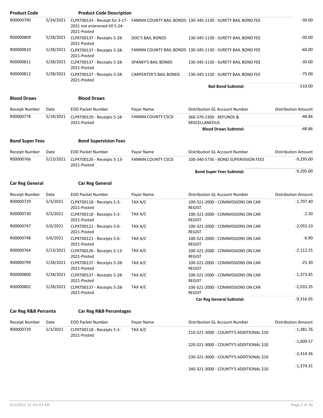| <b>Product Code</b>    |           | <b>Product Code Description</b>                      |                               |                                                                                             |                            |
|------------------------|-----------|------------------------------------------------------|-------------------------------|---------------------------------------------------------------------------------------------|----------------------------|
| R00000790              | 5/24/2021 | 2021 not enterened till 5-24-<br>2021-Posted         |                               | CLPKT00133 - Receipt for 3-17- FANNIN COUNTY BAIL BONDS 130-345-1130 - SURETY BAIL BOND FEE | $-30.00$                   |
| R00000809              | 5/28/2021 | CLPKT00137 - Receipts 5-28-<br>2021-Posted           | DOC'S BAIL BONDS              | 130-345-1130 - SURETY BAIL BOND FEE                                                         | $-30.00$                   |
| R00000810              | 5/28/2021 | CLPKT00137 - Receipts 5-28-<br>2021-Posted           |                               | FANNIN COUNTY BAIL BONDS 130-345-1130 - SURETY BAIL BOND FEE                                | $-60.00$                   |
| R00000811              | 5/28/2021 | CLPKT00137 - Receipts 5-28-<br>2021-Posted           | <b>SPANKY'S BAIL BONDS</b>    | 130-345-1130 - SURETY BAIL BOND FEE                                                         | $-30.00$                   |
| R00000812              | 5/28/2021 | CLPKT00137 - Receipts 5-28-<br>2021-Posted           | <b>CARPENTER'S BAIL BONDS</b> | 130-345-1130 - SURETY BAIL BOND FEE                                                         | $-75.00$                   |
|                        |           |                                                      |                               | <b>Bail Bond Subtotal:</b>                                                                  | $-510.00$                  |
| <b>Blood Draws</b>     |           | <b>Blood Draws</b>                                   |                               |                                                                                             |                            |
| <b>Receipt Number</b>  | Date      | <b>EOD Packet Number</b>                             | Payor Name                    | Distribution GL Account Number                                                              | <b>Distribution Amount</b> |
| R00000778              | 5/18/2021 | CLPKT00129 - Receipts 5-18-<br>2021-Posted           | <b>FANNIN COUNTY CSCD</b>     | 360-370-1300 - REFUNDS &<br><b>MISCELLANEOUS</b>                                            | $-48.86$                   |
|                        |           |                                                      |                               | <b>Blood Draws Subtotal:</b>                                                                | $-48.86$                   |
| <b>Bond Super Fees</b> |           | <b>Bond Supervision Fees</b>                         |                               |                                                                                             |                            |
| Receipt Number         | Date      | <b>EOD Packet Number</b>                             | Payor Name                    | Distribution GL Account Number                                                              | <b>Distribution Amount</b> |
| R00000766              | 5/13/2021 | CLPKT00126 - Receipts 5-13-<br>2021-Posted           | <b>FANNIN COUNTY CSCD</b>     | 100-340-5730 - BOND SUPERVISION FEES                                                        | $-9,295.00$                |
|                        |           |                                                      |                               | <b>Bond Super Fees Subtotal:</b>                                                            | $-9,295.00$                |
| <b>Car Reg General</b> |           | <b>Car Reg General</b>                               |                               |                                                                                             |                            |
| Receipt Number         | Date      | <b>EOD Packet Number</b>                             | Payor Name                    | Distribution GL Account Number                                                              | <b>Distribution Amount</b> |
| R00000729              | 5/3/2021  | CLPKT00118 - Receipts 5-3-<br>2021-Posted            | TAX A/C                       | 100-321-2000 - COMMISSIONS ON CAR<br><b>REGIST</b>                                          | $-1,707.40$                |
| R00000730              | 5/3/2021  | CLPKT00118 - Receipts 5-3-<br>2021-Posted            | TAX A/C                       | 100-321-2000 - COMMISSIONS ON CAR<br><b>REGIST</b>                                          | $-2.30$                    |
| R00000747              | 5/6/2021  | CLPKT00121 - Receipts 5-6-<br>2021-Posted            | TAX A/C                       | 100-321-2000 - COMMISSIONS ON CAR<br><b>REGIST</b>                                          | $-2,055.10$                |
| R00000748              | 5/6/2021  | CLPKT00121 - Receipts 5-6-<br>2021-Posted            | TAX A/C                       | 100-321-2000 - COMMISSIONS ON CAR<br><b>REGIST</b>                                          | $-6.90$                    |
| R00000764              |           | 5/13/2021 CLPKT00126 - Receipts 5-13-<br>2021-Posted | TAX A/C                       | 100-321-2000 - COMMISSIONS ON CAR<br><b>REGIST</b>                                          | $-2,112.25$                |
| R00000799              | 5/28/2021 | CLPKT00137 - Receipts 5-28-<br>2021-Posted           | TAX A/C                       | 100-321-2000 - COMMISSIONS ON CAR<br><b>REGIST</b>                                          | $-25.30$                   |
| R00000800              | 5/28/2021 | CLPKT00137 - Receipts 5-28-<br>2021-Posted           | TAX A/C                       | 100-321-2000 - COMMISSIONS ON CAR<br><b>REGIST</b>                                          | $-1,373.45$                |
| R00000802              | 5/28/2021 | CLPKT00137 - Receipts 5-28-<br>2021-Posted           | TAX A/C                       | 100-321-2000 - COMMISSIONS ON CAR<br><b>REGIST</b>                                          | $-2,033.35$                |
|                        |           |                                                      |                               | <b>Car Reg General Subtotal:</b>                                                            | $-9,316.05$                |
| Car Reg R&B Percenta   |           | <b>Car Reg R&amp;B Percentages</b>                   |                               |                                                                                             |                            |
| Receipt Number         | Date      | <b>EOD Packet Number</b>                             | Payor Name                    | Distribution GL Account Number                                                              | Distribution Amount        |
| R00000729              | 5/3/2021  | CLPKT00118 - Receipts 5-3-<br>2021-Posted            | TAX A/C                       | 210-321-3000 - COUNTY'S ADDITIONAL \$10                                                     | $-1,381.76$                |
|                        |           |                                                      |                               | 220-321-3000 - COUNTY'S ADDITIONAL \$10                                                     | $-1,609.57$                |
|                        |           |                                                      |                               | 230-321-3000 - COUNTY'S ADDITIONAL \$10                                                     | $-2,414.36$                |

-1,374.31 240-321-3000 - COUNTY'S ADDITIONAL \$10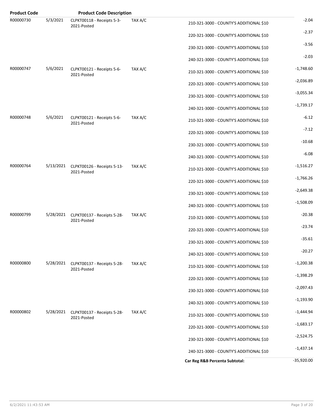| <b>Product Code</b> |           | <b>Product Code Description</b>                      |         |                                         |              |
|---------------------|-----------|------------------------------------------------------|---------|-----------------------------------------|--------------|
| R00000730           | 5/3/2021  | CLPKT00118 - Receipts 5-3-<br>2021-Posted            | TAX A/C | 210-321-3000 - COUNTY'S ADDITIONAL \$10 | $-2.04$      |
|                     |           |                                                      |         | 220-321-3000 - COUNTY'S ADDITIONAL \$10 | $-2.37$      |
|                     |           |                                                      |         | 230-321-3000 - COUNTY'S ADDITIONAL \$10 | $-3.56$      |
|                     |           |                                                      |         | 240-321-3000 - COUNTY'S ADDITIONAL \$10 | $-2.03$      |
| R00000747           | 5/6/2021  | CLPKT00121 - Receipts 5-6-<br>2021-Posted            | TAX A/C | 210-321-3000 - COUNTY'S ADDITIONAL \$10 | $-1,748.60$  |
|                     |           |                                                      |         | 220-321-3000 - COUNTY'S ADDITIONAL \$10 | $-2,036.89$  |
|                     |           |                                                      |         | 230-321-3000 - COUNTY'S ADDITIONAL \$10 | $-3,055.34$  |
|                     |           |                                                      |         | 240-321-3000 - COUNTY'S ADDITIONAL \$10 | $-1,739.17$  |
| R00000748           | 5/6/2021  | CLPKT00121 - Receipts 5-6-<br>2021-Posted            | TAX A/C | 210-321-3000 - COUNTY'S ADDITIONAL \$10 | $-6.12$      |
|                     |           |                                                      |         | 220-321-3000 - COUNTY'S ADDITIONAL \$10 | $-7.12$      |
|                     |           |                                                      |         | 230-321-3000 - COUNTY'S ADDITIONAL \$10 | $-10.68$     |
|                     |           |                                                      |         | 240-321-3000 - COUNTY'S ADDITIONAL \$10 | $-6.08$      |
| R00000764           |           | 5/13/2021 CLPKT00126 - Receipts 5-13-<br>2021-Posted | TAX A/C | 210-321-3000 - COUNTY'S ADDITIONAL \$10 | $-1,516.27$  |
|                     |           |                                                      |         | 220-321-3000 - COUNTY'S ADDITIONAL \$10 | $-1,766.26$  |
|                     |           |                                                      |         | 230-321-3000 - COUNTY'S ADDITIONAL \$10 | $-2,649.38$  |
|                     |           |                                                      |         | 240-321-3000 - COUNTY'S ADDITIONAL \$10 | $-1,508.09$  |
| R00000799           |           | 5/28/2021 CLPKT00137 - Receipts 5-28-<br>2021-Posted | TAX A/C | 210-321-3000 - COUNTY'S ADDITIONAL \$10 | $-20.38$     |
|                     |           |                                                      |         | 220-321-3000 - COUNTY'S ADDITIONAL \$10 | $-23.74$     |
|                     |           |                                                      |         | 230-321-3000 - COUNTY'S ADDITIONAL \$10 | $-35.61$     |
|                     |           |                                                      |         | 240-321-3000 - COUNTY'S ADDITIONAL \$10 | $-20.27$     |
| R00000800           | 5/28/2021 | CLPKT00137 - Receipts 5-28-<br>2021-Posted           | TAX A/C | 210-321-3000 - COUNTY'S ADDITIONAL \$10 | $-1,200.38$  |
|                     |           |                                                      |         | 220-321-3000 - COUNTY'S ADDITIONAL \$10 | $-1,398.29$  |
|                     |           |                                                      |         | 230-321-3000 - COUNTY'S ADDITIONAL \$10 | $-2,097.43$  |
|                     |           |                                                      |         | 240-321-3000 - COUNTY'S ADDITIONAL \$10 | $-1,193.90$  |
| R00000802           | 5/28/2021 | CLPKT00137 - Receipts 5-28-<br>2021-Posted           | TAX A/C | 210-321-3000 - COUNTY'S ADDITIONAL \$10 | $-1,444.94$  |
|                     |           |                                                      |         | 220-321-3000 - COUNTY'S ADDITIONAL \$10 | $-1,683.17$  |
|                     |           |                                                      |         | 230-321-3000 - COUNTY'S ADDITIONAL \$10 | $-2,524.75$  |
|                     |           |                                                      |         | 240-321-3000 - COUNTY'S ADDITIONAL \$10 | $-1,437.14$  |
|                     |           |                                                      |         | Car Reg R&B Percenta Subtotal:          | $-35,920.00$ |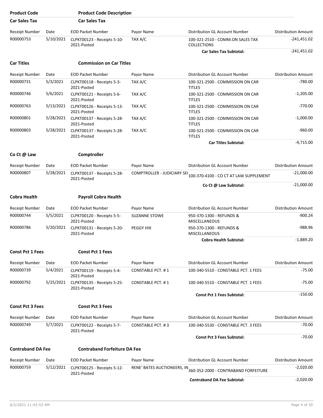| <b>Product Code</b>      |           | <b>Product Code Description</b>            |                             |                                                                   |                            |
|--------------------------|-----------|--------------------------------------------|-----------------------------|-------------------------------------------------------------------|----------------------------|
| <b>Car Sales Tax</b>     |           | <b>Car Sales Tax</b>                       |                             |                                                                   |                            |
| Receipt Number           | Date      | <b>EOD Packet Number</b>                   | Payor Name                  | Distribution GL Account Number                                    | <b>Distribution Amount</b> |
| R00000753                | 5/10/2021 | CLPKT00123 - Receipts 5-10-<br>2021-Posted | TAX A/C                     | 100-321-2510 - COMM.ON SALES TAX<br><b>COLLECTIONS</b>            | $-241,451.02$              |
|                          |           |                                            |                             | <b>Car Sales Tax Subtotal:</b>                                    | $-241,451.02$              |
| <b>Car Titles</b>        |           | <b>Commission on Car Titles</b>            |                             |                                                                   |                            |
| Receipt Number           | Date      | <b>EOD Packet Number</b>                   | Payor Name                  | Distribution GL Account Number                                    | <b>Distribution Amount</b> |
| R00000731                | 5/3/2021  | CLPKT00118 - Receipts 5-3-<br>2021-Posted  | TAX A/C                     | 100-321-2500 - COMMISSION ON CAR<br><b>TITLES</b>                 | $-780.00$                  |
| R00000746                | 5/6/2021  | CLPKT00121 - Receipts 5-6-<br>2021-Posted  | TAX A/C                     | 100-321-2500 - COMMISSION ON CAR<br><b>TITLES</b>                 | $-1,205.00$                |
| R00000763                | 5/13/2021 | CLPKT00126 - Receipts 5-13-<br>2021-Posted | TAX A/C                     | 100-321-2500 - COMMISSION ON CAR<br><b>TITLES</b>                 | $-770.00$                  |
| R00000801                | 5/28/2021 | CLPKT00137 - Receipts 5-28-<br>2021-Posted | TAX A/C                     | 100-321-2500 - COMMISSION ON CAR<br><b>TITLES</b>                 | $-1,000.00$                |
| R00000803                | 5/28/2021 | CLPKT00137 - Receipts 5-28-<br>2021-Posted | TAX A/C                     | 100-321-2500 - COMMISSION ON CAR<br><b>TITLES</b>                 | $-960.00$                  |
|                          |           |                                            |                             | <b>Car Titles Subtotal:</b>                                       | $-4,715.00$                |
| Co Ct @ Law              |           | Comptroller                                |                             |                                                                   |                            |
| Receipt Number           | Date      | <b>EOD Packet Number</b>                   | Payor Name                  | Distribution GL Account Number                                    | <b>Distribution Amount</b> |
| R00000807                | 5/28/2021 | CLPKT00137 - Receipts 5-28-<br>2021-Posted |                             | COMPTROLLER - JUDICIARY SE(100-370-4100 - CO CT AT LAW SUPPLEMENT | $-21,000.00$               |
|                          |           |                                            |                             | Co Ct @ Law Subtotal:                                             | $-21,000.00$               |
| <b>Cobra Health</b>      |           | <b>Payroll Cobra Health</b>                |                             |                                                                   |                            |
| <b>Receipt Number</b>    | Date      | <b>EOD Packet Number</b>                   | Payor Name                  | Distribution GL Account Number                                    | <b>Distribution Amount</b> |
| R00000744                | 5/5/2021  | CLPKT00120 - Receipts 5-5-<br>2021-Posted  | <b>SUZANNE STOWE</b>        | 950-370-1300 - REFUNDS &<br><b>MISCELLANEOUS</b>                  | $-900.24$                  |
| R00000786                | 5/20/2021 | CLPKT00131 - Receipts 5-20-<br>2021-Posted | PEGGY HIX                   | 950-370-1300 - REFUNDS &<br><b>MISCELLANEOUS</b>                  | -988.96                    |
|                          |           |                                            |                             | <b>Cobra Health Subtotal:</b>                                     | $-1,889.20$                |
| <b>Const Pct 1 Fees</b>  |           | <b>Const Pct 1 Fees</b>                    |                             |                                                                   |                            |
| Receipt Number           | Date      | <b>EOD Packet Number</b>                   | Payor Name                  | Distribution GL Account Number                                    | <b>Distribution Amount</b> |
| R00000739                | 5/4/2021  | CLPKT00119 - Receipts 5-4-<br>2021-Posted  | CONSTABLE PCT. #1           | 100-340-5510 - CONSTABLE PCT. 1 FEES                              | $-75.00$                   |
| R00000792                | 5/25/2021 | CLPKT00135 - Receipts 5-25-<br>2021-Posted | <b>CONSTABLE PCT. #1</b>    | 100-340-5510 - CONSTABLE PCT. 1 FEES                              | $-75.00$                   |
|                          |           |                                            |                             | <b>Const Pct 1 Fees Subtotal:</b>                                 | $-150.00$                  |
| <b>Const Pct 3 Fees</b>  |           | <b>Const Pct 3 Fees</b>                    |                             |                                                                   |                            |
| Receipt Number           | Date      | <b>EOD Packet Number</b>                   | Payor Name                  | Distribution GL Account Number                                    | <b>Distribution Amount</b> |
| R00000749                | 5/7/2021  | CLPKT00122 - Receipts 5-7-<br>2021-Posted  | CONSTABLE PCT. #3           | 100-340-5530 - CONSTABLE PCT. 3 FEES                              | $-70.00$                   |
|                          |           |                                            |                             | <b>Const Pct 3 Fees Subtotal:</b>                                 | $-70.00$                   |
| <b>Contraband DA Fee</b> |           | <b>Contraband Forfeiture DA Fee</b>        |                             |                                                                   |                            |
| Receipt Number           | Date      | <b>EOD Packet Number</b>                   | Payor Name                  | Distribution GL Account Number                                    | Distribution Amount        |
| R00000759                | 5/12/2021 | CLPKT00125 - Receipts 5-12-<br>2021-Posted | RENE' BATES AUCTIONEERS, IN | 360-352-2000 - CONTRABAND FORFEITURE                              | $-2,020.00$                |
|                          |           |                                            |                             | <b>Contraband DA Fee Subtotal:</b>                                | $-2,020.00$                |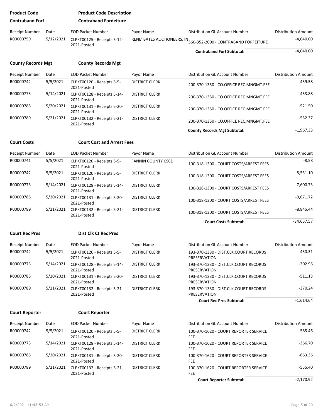| <b>Product Code</b>       |           | <b>Product Code Description</b>            |                           |                                                                  |                            |
|---------------------------|-----------|--------------------------------------------|---------------------------|------------------------------------------------------------------|----------------------------|
| <b>Contraband Forf</b>    |           | <b>Contraband Fordeiture</b>               |                           |                                                                  |                            |
| <b>Receipt Number</b>     | Date      | <b>EOD Packet Number</b>                   | Payor Name                | Distribution GL Account Number                                   | <b>Distribution Amount</b> |
| R00000759                 | 5/12/2021 | CLPKT00125 - Receipts 5-12-<br>2021-Posted |                           | RENE' BATES AUCTIONEERS, IN 560-352-2000 - CONTRABAND FORFEITURE | $-4,040.00$                |
|                           |           |                                            |                           | <b>Contraband Forf Subtotal:</b>                                 | $-4,040.00$                |
| <b>County Records Mgt</b> |           | <b>County Records Mgt</b>                  |                           |                                                                  |                            |
| <b>Receipt Number</b>     | Date      | <b>EOD Packet Number</b>                   | Payor Name                | Distribution GL Account Number                                   | Distribution Amount        |
| R00000742                 | 5/5/2021  | CLPKT00120 - Receipts 5-5-<br>2021-Posted  | <b>DISTRICT CLERK</b>     | 200-370-1350 - CO.OFFICE REC.MNGMT.FEE                           | -439.58                    |
| R00000773                 | 5/14/2021 | CLPKT00128 - Receipts 5-14-<br>2021-Posted | <b>DISTRICT CLERK</b>     | 200-370-1350 - CO.OFFICE REC.MNGMT.FEE                           | $-453.88$                  |
| R00000785                 | 5/20/2021 | CLPKT00131 - Receipts 5-20-<br>2021-Posted | <b>DISTRICT CLERK</b>     | 200-370-1350 - CO.OFFICE REC.MNGMT.FEE                           | $-521.50$                  |
| R00000789                 | 5/21/2021 | CLPKT00132 - Receipts 5-21-<br>2021-Posted | <b>DISTRICT CLERK</b>     | 200-370-1350 - CO.OFFICE REC.MNGMT.FEE                           | $-552.37$                  |
|                           |           |                                            |                           | <b>County Records Mgt Subtotal:</b>                              | $-1,967.33$                |
| <b>Court Costs</b>        |           | <b>Court Cost and Arrest Fees</b>          |                           |                                                                  |                            |
| Receipt Number            | Date      | <b>EOD Packet Number</b>                   | Payor Name                | Distribution GL Account Number                                   | <b>Distribution Amount</b> |
| R00000741                 | 5/5/2021  | CLPKT00120 - Receipts 5-5-<br>2021-Posted  | <b>FANNIN COUNTY CSCD</b> | 100-318-1300 - COURT COSTS/ARREST FEES                           | $-8.58$                    |
| R00000742                 | 5/5/2021  | CLPKT00120 - Receipts 5-5-<br>2021-Posted  | <b>DISTRICT CLERK</b>     | 100-318-1300 - COURT COSTS/ARREST FEES                           | -8,531.10                  |
| R00000773                 | 5/14/2021 | CLPKT00128 - Receipts 5-14-<br>2021-Posted | <b>DISTRICT CLERK</b>     | 100-318-1300 - COURT COSTS/ARREST FEES                           | $-7,600.73$                |
| R00000785                 | 5/20/2021 | CLPKT00131 - Receipts 5-20-<br>2021-Posted | <b>DISTRICT CLERK</b>     | 100-318-1300 - COURT COSTS/ARREST FEES                           | $-9,671.72$                |
| R00000789                 | 5/21/2021 | CLPKT00132 - Receipts 5-21-<br>2021-Posted | <b>DISTRICT CLERK</b>     | 100-318-1300 - COURT COSTS/ARREST FEES                           | $-8,845.44$                |
|                           |           |                                            |                           | <b>Court Costs Subtotal:</b>                                     | $-34,657.57$               |
| <b>Court Rec Pres</b>     |           | <b>Dist Clk Ct Rec Pres</b>                |                           |                                                                  |                            |
| Receipt Number            | Date      | <b>EOD Packet Number</b>                   | Payor Name                | Distribution GL Account Number                                   | <b>Distribution Amount</b> |
| R00000742                 | 5/5/2021  | CLPKT00120 - Receipts 5-5-<br>2021-Posted  | <b>DISTRICT CLERK</b>     | 193-370-1330 - DIST.CLK.COURT RECORDS<br>PRESERVATION            | $-430.31$                  |
| R00000773                 | 5/14/2021 | CLPKT00128 - Receipts 5-14-<br>2021-Posted | <b>DISTRICT CLERK</b>     | 193-370-1330 - DIST.CLK.COURT RECORDS<br>PRESERVATION            | $-302.96$                  |
| R00000785                 | 5/20/2021 | CLPKT00131 - Receipts 5-20-<br>2021-Posted | <b>DISTRICT CLERK</b>     | 193-370-1330 - DIST.CLK.COURT RECORDS<br>PRESERVATION            | -511.13                    |
| R00000789                 | 5/21/2021 | CLPKT00132 - Receipts 5-21-<br>2021-Posted | <b>DISTRICT CLERK</b>     | 193-370-1330 - DIST.CLK.COURT RECORDS<br>PRESERVATION            | $-370.24$                  |
|                           |           |                                            |                           | <b>Court Rec Pres Subtotal:</b>                                  | $-1,614.64$                |
| <b>Court Reporter</b>     |           | <b>Court Reporter</b>                      |                           |                                                                  |                            |
| Receipt Number            | Date      | <b>EOD Packet Number</b>                   | Payor Name                | Distribution GL Account Number                                   | Distribution Amount        |
| R00000742                 | 5/5/2021  | CLPKT00120 - Receipts 5-5-<br>2021-Posted  | <b>DISTRICT CLERK</b>     | 100-370-1620 - COURT REPORTER SERVICE<br><b>FEE</b>              | $-585.46$                  |
| R00000773                 | 5/14/2021 | CLPKT00128 - Receipts 5-14-<br>2021-Posted | <b>DISTRICT CLERK</b>     | 100-370-1620 - COURT REPORTER SERVICE<br><b>FEE</b>              | -366.70                    |
| R00000785                 | 5/20/2021 | CLPKT00131 - Receipts 5-20-<br>2021-Posted | <b>DISTRICT CLERK</b>     | 100-370-1620 - COURT REPORTER SERVICE<br>FEE                     | -663.36                    |
| R00000789                 | 5/21/2021 | CLPKT00132 - Receipts 5-21-<br>2021-Posted | <b>DISTRICT CLERK</b>     | 100-370-1620 - COURT REPORTER SERVICE<br>FEE                     | -555.40                    |
|                           |           |                                            |                           | <b>Court Reporter Subtotal:</b>                                  | $-2,170.92$                |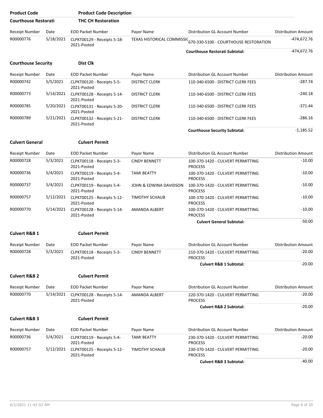| <b>Product Code</b>         |           | <b>Product Code Description</b>            |                        |                                                                  |                            |
|-----------------------------|-----------|--------------------------------------------|------------------------|------------------------------------------------------------------|----------------------------|
| <b>Courthouse Restorati</b> |           | <b>THC CH Restoration</b>                  |                        |                                                                  |                            |
| <b>Receipt Number</b>       | Date      | <b>EOD Packet Number</b>                   | Payor Name             | Distribution GL Account Number                                   | <b>Distribution Amount</b> |
| R00000776                   | 5/18/2021 | CLPKT00129 - Receipts 5-18-<br>2021-Posted |                        | TEXAS HISTORICAL COMMISSIC 670-330-5100 - COURTHOUSE RESTORATION | -474,672.76                |
|                             |           |                                            |                        | <b>Courthouse Restorati Subtotal:</b>                            | $-474,672.76$              |
| <b>Courthouse Security</b>  |           | <b>Dist Clk</b>                            |                        |                                                                  |                            |
| <b>Receipt Number</b>       | Date      | <b>EOD Packet Number</b>                   | Payor Name             | Distribution GL Account Number                                   | <b>Distribution Amount</b> |
| R00000742                   | 5/5/2021  | CLPKT00120 - Receipts 5-5-<br>2021-Posted  | <b>DISTRICT CLERK</b>  | 110-340-6500 - DISTRICT CLERK FEES                               | $-287.74$                  |
| R00000773                   | 5/14/2021 | CLPKT00128 - Receipts 5-14-<br>2021-Posted | <b>DISTRICT CLERK</b>  | 110-340-6500 - DISTRICT CLERK FEES                               | $-240.18$                  |
| R00000785                   | 5/20/2021 | CLPKT00131 - Receipts 5-20-<br>2021-Posted | <b>DISTRICT CLERK</b>  | 110-340-6500 - DISTRICT CLERK FEES                               | $-371.44$                  |
| R00000789                   | 5/21/2021 | CLPKT00132 - Receipts 5-21-<br>2021-Posted | <b>DISTRICT CLERK</b>  | 110-340-6500 - DISTRICT CLERK FEES                               | $-286.16$                  |
|                             |           |                                            |                        | <b>Courthouse Security Subtotal:</b>                             | $-1,185.52$                |
| <b>Culvert General</b>      |           | <b>Culvert Permit</b>                      |                        |                                                                  |                            |
| <b>Receipt Number</b>       | Date      | <b>EOD Packet Number</b>                   | Payor Name             | Distribution GL Account Number                                   | <b>Distribution Amount</b> |
| R00000728                   | 5/3/2021  | CLPKT00118 - Receipts 5-3-<br>2021-Posted  | <b>CINDY BENNETT</b>   | 100-370-1420 - CULVERT PERMITTING<br><b>PROCESS</b>              | $-10.00$                   |
| R00000736                   | 5/4/2021  | CLPKT00119 - Receipts 5-4-<br>2021-Posted  | <b>TAMI BEATTY</b>     | 100-370-1420 - CULVERT PERMITTING<br><b>PROCESS</b>              | $-10.00$                   |
| R00000737                   | 5/4/2021  | CLPKT00119 - Receipts 5-4-<br>2021-Posted  | JOHN & EDWINA DAVIDSON | 100-370-1420 - CULVERT PERMITTING<br><b>PROCESS</b>              | $-10.00$                   |
| R00000757                   | 5/12/2021 | CLPKT00125 - Receipts 5-12-<br>2021-Posted | <b>TIMOTHY SCHAUB</b>  | 100-370-1420 - CULVERT PERMITTING<br><b>PROCESS</b>              | $-10.00$                   |
| R00000770                   | 5/14/2021 | CLPKT00128 - Receipts 5-14-<br>2021-Posted | AMANDA ALBERT          | 100-370-1420 - CULVERT PERMITTING<br><b>PROCESS</b>              | $-10.00$                   |
|                             |           |                                            |                        | <b>Culvert General Subtotal:</b>                                 | $-50.00$                   |
| <b>Culvert R&amp;B 1</b>    |           | <b>Culvert Permit</b>                      |                        |                                                                  |                            |
| Receipt Number              | Date      | <b>EOD Packet Number</b>                   | Payor Name             | Distribution GL Account Number                                   | <b>Distribution Amount</b> |
| R00000728                   | 5/3/2021  | CLPKT00118 - Receipts 5-3-<br>2021-Posted  | <b>CINDY BENNETT</b>   | 210-370-1420 - CULVERT PERMITTING<br><b>PROCESS</b>              | $-20.00$                   |
|                             |           |                                            |                        | <b>Culvert R&amp;B 1 Subtotal:</b>                               | $-20.00$                   |
| <b>Culvert R&amp;B 2</b>    |           | <b>Culvert Permit</b>                      |                        |                                                                  |                            |
| Receipt Number              | Date      | <b>EOD Packet Number</b>                   | Payor Name             | <b>Distribution GL Account Number</b>                            | <b>Distribution Amount</b> |
| R00000770                   | 5/14/2021 | CLPKT00128 - Receipts 5-14-<br>2021-Posted | <b>AMANDA ALBERT</b>   | 220-370-1420 - CULVERT PERMITTING<br><b>PROCESS</b>              | $-20.00$                   |
|                             |           |                                            |                        | <b>Culvert R&amp;B 2 Subtotal:</b>                               | $-20.00$                   |
| <b>Culvert R&amp;B 3</b>    |           | <b>Culvert Permit</b>                      |                        |                                                                  |                            |
| Receipt Number              | Date      | <b>EOD Packet Number</b>                   | Payor Name             | Distribution GL Account Number                                   | <b>Distribution Amount</b> |
| R00000736                   | 5/4/2021  | CLPKT00119 - Receipts 5-4-<br>2021-Posted  | <b>TAMI BEATTY</b>     | 230-370-1420 - CULVERT PERMITTING<br><b>PROCESS</b>              | $-20.00$                   |
| R00000757                   | 5/12/2021 | CLPKT00125 - Receipts 5-12-<br>2021-Posted | <b>TIMOTHY SCHAUB</b>  | 230-370-1420 - CULVERT PERMITTING<br><b>PROCESS</b>              | $-20.00$                   |
|                             |           |                                            |                        | <b>Culvert R&amp;B 3 Subtotal:</b>                               | $-40.00$                   |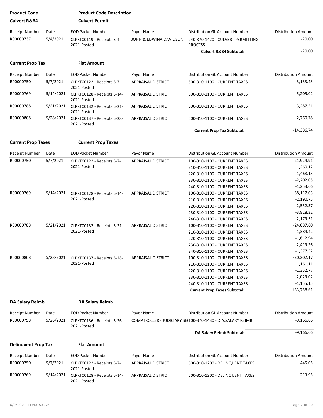| <b>Product Code</b>        |           | <b>Product Code Description</b>            |                           |                                                                     |                            |
|----------------------------|-----------|--------------------------------------------|---------------------------|---------------------------------------------------------------------|----------------------------|
| <b>Culvert R&amp;B4</b>    |           | <b>Culvert Permit</b>                      |                           |                                                                     |                            |
| <b>Receipt Number</b>      | Date      | <b>EOD Packet Number</b>                   | Payor Name                | Distribution GL Account Number                                      | <b>Distribution Amount</b> |
| R00000737                  | 5/4/2021  | CLPKT00119 - Receipts 5-4-<br>2021-Posted  | JOHN & EDWINA DAVIDSON    | 240-370-1420 - CULVERT PERMITTING<br><b>PROCESS</b>                 | $-20.00$                   |
|                            |           |                                            |                           | <b>Culvert R&amp;B4 Subtotal:</b>                                   | $-20.00$                   |
| <b>Current Prop Tax</b>    |           | <b>Flat Amount</b>                         |                           |                                                                     |                            |
| Receipt Number             | Date      | <b>EOD Packet Number</b>                   | Payor Name                | Distribution GL Account Number                                      | <b>Distribution Amount</b> |
| R00000750                  | 5/7/2021  | CLPKT00122 - Receipts 5-7-<br>2021-Posted  | APPRAISAL DISTRICT        | 600-310-1100 - CURRENT TAXES                                        | $-3,133.43$                |
| R00000769                  | 5/14/2021 | CLPKT00128 - Receipts 5-14-<br>2021-Posted | APPRAISAL DISTRICT        | 600-310-1100 - CURRENT TAXES                                        | $-5,205.02$                |
| R00000788                  | 5/21/2021 | CLPKT00132 - Receipts 5-21-<br>2021-Posted | <b>APPRAISAL DISTRICT</b> | 600-310-1100 - CURRENT TAXES                                        | $-3,287.51$                |
| R00000808                  | 5/28/2021 | CLPKT00137 - Receipts 5-28-<br>2021-Posted | <b>APPRAISAL DISTRICT</b> | 600-310-1100 - CURRENT TAXES                                        | $-2,760.78$                |
|                            |           |                                            |                           | <b>Current Prop Tax Subtotal:</b>                                   | $-14,386.74$               |
| <b>Current Prop Taxes</b>  |           | <b>Current Prop Taxes</b>                  |                           |                                                                     |                            |
| Receipt Number             | Date      | <b>EOD Packet Number</b>                   | Payor Name                | Distribution GL Account Number                                      | <b>Distribution Amount</b> |
| R00000750                  | 5/7/2021  | CLPKT00122 - Receipts 5-7-                 | <b>APPRAISAL DISTRICT</b> | 100-310-1100 - CURRENT TAXES                                        | $-21,924.91$               |
|                            |           | 2021-Posted                                |                           | 210-310-1100 - CURRENT TAXES                                        | $-1,260.12$                |
|                            |           |                                            |                           | 220-310-1100 - CURRENT TAXES                                        | $-1,468.13$                |
|                            |           |                                            |                           | 230-310-1100 - CURRENT TAXES                                        | $-2,202.05$                |
|                            |           |                                            |                           | 240-310-1100 - CURRENT TAXES                                        | $-1,253.66$                |
| R00000769                  | 5/14/2021 | CLPKT00128 - Receipts 5-14-                | APPRAISAL DISTRICT        | 100-310-1100 - CURRENT TAXES                                        | $-38,117.03$               |
|                            |           | 2021-Posted                                |                           | 210-310-1100 - CURRENT TAXES                                        | $-2,190.75$                |
|                            |           |                                            |                           | 220-310-1100 - CURRENT TAXES                                        | $-2,552.37$                |
|                            |           |                                            |                           | 230-310-1100 - CURRENT TAXES                                        | $-3,828.32$                |
|                            |           |                                            |                           |                                                                     | $-2,179.51$                |
| R00000788                  | 5/21/2021 |                                            | <b>APPRAISAL DISTRICT</b> | 240-310-1100 - CURRENT TAXES                                        | $-24,087.60$               |
|                            |           | CLPKT00132 - Receipts 5-21-<br>2021-Posted |                           | 100-310-1100 - CURRENT TAXES                                        | $-1,384.42$                |
|                            |           |                                            |                           | 210-310-1100 - CURRENT TAXES                                        | $-1,612.94$                |
|                            |           |                                            |                           | 220-310-1100 - CURRENT TAXES                                        | $-2,419.26$                |
|                            |           |                                            |                           | 230-310-1100 - CURRENT TAXES                                        | $-1,377.32$                |
| R00000808                  | 5/28/2021 |                                            |                           | 240-310-1100 - CURRENT TAXES                                        | $-20,202.17$               |
|                            |           | CLPKT00137 - Receipts 5-28-<br>2021-Posted | APPRAISAL DISTRICT        | 100-310-1100 - CURRENT TAXES                                        | $-1,161.11$                |
|                            |           |                                            |                           | 210-310-1100 - CURRENT TAXES                                        |                            |
|                            |           |                                            |                           | 220-310-1100 - CURRENT TAXES                                        | $-1,352.77$                |
|                            |           |                                            |                           | 230-310-1100 - CURRENT TAXES                                        | $-2,029.02$<br>$-1,155.15$ |
|                            |           |                                            |                           | 240-310-1100 - CURRENT TAXES<br><b>Current Prop Taxes Subtotal:</b> | $-133,758.61$              |
|                            |           |                                            |                           |                                                                     |                            |
| DA Salary Reimb            |           | DA Salary Reimb                            |                           |                                                                     |                            |
| <b>Receipt Number</b>      | Date      | <b>EOD Packet Number</b>                   | Payor Name                | Distribution GL Account Number                                      | <b>Distribution Amount</b> |
| R00000798                  | 5/26/2021 | CLPKT00136 - Receipts 5-26-<br>2021-Posted |                           | COMPTROLLER - JUDICIARY SE(100-370-1430 - D.A.SALARY REIMB.         | $-9,166.66$                |
|                            |           |                                            |                           | DA Salary Reimb Subtotal:                                           | $-9,166.66$                |
| <b>Delinquent Prop Tax</b> |           | <b>Flat Amount</b>                         |                           |                                                                     |                            |
| Receipt Number             | Date      | <b>EOD Packet Number</b>                   | Payor Name                | Distribution GL Account Number                                      | <b>Distribution Amount</b> |
| R00000750                  | 5/7/2021  | CLPKT00122 - Receipts 5-7-<br>2021-Posted  | APPRAISAL DISTRICT        | 600-310-1200 - DELINQUENT TAXES                                     | -445.05                    |
| R00000769                  | 5/14/2021 | CLPKT00128 - Receipts 5-14-<br>2021-Posted | APPRAISAL DISTRICT        | 600-310-1200 - DELINQUENT TAXES                                     | -213.95                    |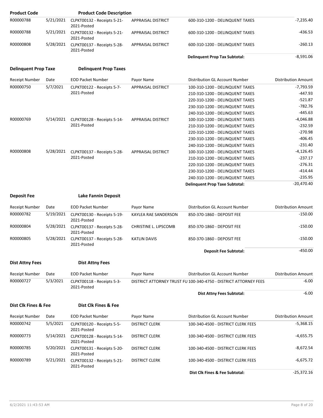| <b>Product Code</b>         |           | <b>Product Code Description</b>            |                           |                                                                  |                            |
|-----------------------------|-----------|--------------------------------------------|---------------------------|------------------------------------------------------------------|----------------------------|
| R00000788                   | 5/21/2021 | CLPKT00132 - Receipts 5-21-<br>2021-Posted | <b>APPRAISAL DISTRICT</b> | 600-310-1200 - DELINQUENT TAXES                                  | $-7,235.40$                |
| R00000788                   | 5/21/2021 | CLPKT00132 - Receipts 5-21-<br>2021-Posted | APPRAISAL DISTRICT        | 600-310-1200 - DELINQUENT TAXES                                  | -436.53                    |
| R00000808                   | 5/28/2021 | CLPKT00137 - Receipts 5-28-<br>2021-Posted | APPRAISAL DISTRICT        | 600-310-1200 - DELINQUENT TAXES                                  | $-260.13$                  |
|                             |           |                                            |                           | <b>Delinquent Prop Tax Subtotal:</b>                             | $-8,591.06$                |
| <b>Delinquent Prop Taxe</b> |           | <b>Delinguent Prop Taxes</b>               |                           |                                                                  |                            |
| <b>Receipt Number</b>       | Date      | <b>EOD Packet Number</b>                   | Payor Name                | Distribution GL Account Number                                   | <b>Distribution Amount</b> |
| R00000750                   | 5/7/2021  | CLPKT00122 - Receipts 5-7-                 | <b>APPRAISAL DISTRICT</b> | 100-310-1200 - DELINQUENT TAXES                                  | $-7,793.59$                |
|                             |           | 2021-Posted                                |                           | 210-310-1200 - DELINQUENT TAXES                                  | $-447.93$                  |
|                             |           |                                            |                           | 220-310-1200 - DELINQUENT TAXES                                  | $-521.87$                  |
|                             |           |                                            |                           | 230-310-1200 - DELINQUENT TAXES                                  | $-782.76$                  |
|                             |           |                                            |                           | 240-310-1200 - DELINQUENT TAXES                                  | $-445.63$                  |
| R00000769                   | 5/14/2021 | CLPKT00128 - Receipts 5-14-                | APPRAISAL DISTRICT        | 100-310-1200 - DELINQUENT TAXES                                  | $-4,046.88$                |
|                             |           | 2021-Posted                                |                           | 210-310-1200 - DELINQUENT TAXES                                  | $-232.59$                  |
|                             |           |                                            |                           | 220-310-1200 - DELINQUENT TAXES                                  | $-270.98$                  |
|                             |           |                                            |                           | 230-310-1200 - DELINQUENT TAXES                                  | $-406.45$                  |
|                             |           |                                            |                           | 240-310-1200 - DELINQUENT TAXES                                  | $-231.40$                  |
| R00000808                   | 5/28/2021 | CLPKT00137 - Receipts 5-28-                | <b>APPRAISAL DISTRICT</b> | 100-310-1200 - DELINQUENT TAXES                                  | -4,126.45                  |
|                             |           | 2021-Posted                                |                           | 210-310-1200 - DELINQUENT TAXES                                  | $-237.17$                  |
|                             |           |                                            |                           | 220-310-1200 - DELINQUENT TAXES                                  | $-276.31$                  |
|                             |           |                                            |                           | 230-310-1200 - DELINQUENT TAXES                                  | $-414.44$                  |
|                             |           |                                            |                           | 240-310-1200 - DELINQUENT TAXES                                  | $-235.95$                  |
|                             |           |                                            |                           | <b>Delinquent Prop Taxe Subtotal:</b>                            | $-20,470.40$               |
|                             |           |                                            |                           |                                                                  |                            |
| <b>Deposit Fee</b>          |           | <b>Lake Fannin Deposit</b>                 |                           |                                                                  |                            |
| <b>Receipt Number</b>       | Date      | <b>EOD Packet Number</b>                   | Payor Name                | Distribution GL Account Number                                   | <b>Distribution Amount</b> |
| R00000782                   | 5/19/2021 | CLPKT00130 - Receipts 5-19-<br>2021-Posted | KAYLEA RAE SANDERSON      | 850-370-1860 - DEPOSIT FEE                                       | $-150.00$                  |
| R00000804                   | 5/28/2021 | CLPKT00137 - Receipts 5-28-<br>2021-Posted | CHRISTINE L. LIPSCOMB     | 850-370-1860 - DEPOSIT FEE                                       | $-150.00$                  |
| R00000805                   | 5/28/2021 | CLPKT00137 - Receipts 5-28-<br>2021-Posted | <b>KATLIN DAVIS</b>       | 850-370-1860 - DEPOSIT FEE                                       | $-150.00$                  |
|                             |           |                                            |                           | <b>Deposit Fee Subtotal:</b>                                     | $-450.00$                  |
| <b>Dist Attny Fees</b>      |           | <b>Dist Attny Fees</b>                     |                           |                                                                  |                            |
| Receipt Number              | Date      | <b>EOD Packet Number</b>                   | Payor Name                | Distribution GL Account Number                                   | <b>Distribution Amount</b> |
| R00000727                   | 5/3/2021  | CLPKT00118 - Receipts 5-3-<br>2021-Posted  |                           | DISTRICT ATTORNEY TRUST FU 100-340-4750 - DISTRICT ATTORNEY FEES | $-6.00$                    |
|                             |           |                                            |                           | <b>Dist Attny Fees Subtotal:</b>                                 | $-6.00$                    |
| Dist Clk Fines & Fee        |           | Dist Clk Fines & Fee                       |                           |                                                                  |                            |
|                             | Date      | <b>EOD Packet Number</b>                   | Payor Name                | Distribution GL Account Number                                   | <b>Distribution Amount</b> |
| <b>Receipt Number</b>       |           |                                            |                           |                                                                  |                            |
| R00000742                   | 5/5/2021  | CLPKT00120 - Receipts 5-5-<br>2021-Posted  | <b>DISTRICT CLERK</b>     | 100-340-4500 - DISTRICT CLERK FEES                               | $-5,368.15$                |
| R00000773                   | 5/14/2021 | CLPKT00128 - Receipts 5-14-<br>2021-Posted | <b>DISTRICT CLERK</b>     | 100-340-4500 - DISTRICT CLERK FEES                               | $-4,655.75$                |
| R00000785                   | 5/20/2021 | CLPKT00131 - Receipts 5-20-<br>2021-Posted | <b>DISTRICT CLERK</b>     | 100-340-4500 - DISTRICT CLERK FEES                               | $-8,672.54$                |
| R00000789                   | 5/21/2021 | CLPKT00132 - Receipts 5-21-<br>2021-Posted | <b>DISTRICT CLERK</b>     | 100-340-4500 - DISTRICT CLERK FEES                               | $-6,675.72$                |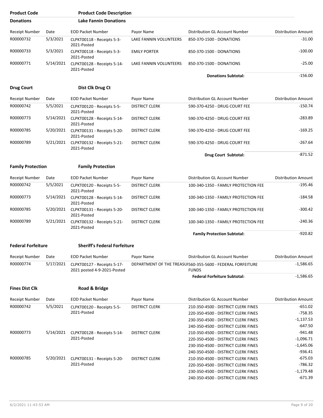| <b>Product Code</b>       |           | <b>Product Code Description</b>                            |                        |                                                                            |                            |
|---------------------------|-----------|------------------------------------------------------------|------------------------|----------------------------------------------------------------------------|----------------------------|
| <b>Donations</b>          |           | <b>Lake Fannin Donations</b>                               |                        |                                                                            |                            |
| Receipt Number            | Date      | <b>EOD Packet Number</b>                                   | Payor Name             | Distribution GL Account Number                                             | <b>Distribution Amount</b> |
| R00000732                 | 5/3/2021  | CLPKT00118 - Receipts 5-3-<br>2021-Posted                  | LAKE FANNIN VOLUNTEERS | 850-370-1500 - DONATIONS                                                   | $-31.00$                   |
| R00000733                 | 5/3/2021  | CLPKT00118 - Receipts 5-3-<br>2021-Posted                  | <b>EMILY PORTER</b>    | 850-370-1500 - DONATIONS                                                   | $-100.00$                  |
| R00000771                 | 5/14/2021 | CLPKT00128 - Receipts 5-14-<br>2021-Posted                 | LAKE FANNIN VOLUNTEERS | 850-370-1500 - DONATIONS                                                   | $-25.00$                   |
|                           |           |                                                            |                        | <b>Donations Subtotal:</b>                                                 | $-156.00$                  |
| <b>Drug Court</b>         |           | Dist Clk Drug Ct                                           |                        |                                                                            |                            |
| <b>Receipt Number</b>     | Date      | <b>EOD Packet Number</b>                                   | Payor Name             | Distribution GL Account Number                                             | <b>Distribution Amount</b> |
| R00000742                 | 5/5/2021  | CLPKT00120 - Receipts 5-5-<br>2021-Posted                  | <b>DISTRICT CLERK</b>  | 590-370-4250 - DRUG COURT FEE                                              | $-150.74$                  |
| R00000773                 | 5/14/2021 | CLPKT00128 - Receipts 5-14-<br>2021-Posted                 | <b>DISTRICT CLERK</b>  | 590-370-4250 - DRUG COURT FEE                                              | $-283.89$                  |
| R00000785                 | 5/20/2021 | CLPKT00131 - Receipts 5-20-<br>2021-Posted                 | <b>DISTRICT CLERK</b>  | 590-370-4250 - DRUG COURT FEE                                              | $-169.25$                  |
| R00000789                 | 5/21/2021 | CLPKT00132 - Receipts 5-21-<br>2021-Posted                 | <b>DISTRICT CLERK</b>  | 590-370-4250 - DRUG COURT FEE                                              | $-267.64$                  |
|                           |           |                                                            |                        | Drug Court Subtotal:                                                       | $-871.52$                  |
| <b>Family Protection</b>  |           | <b>Family Protection</b>                                   |                        |                                                                            |                            |
| Receipt Number            | Date      | <b>EOD Packet Number</b>                                   | Payor Name             | Distribution GL Account Number                                             | Distribution Amount        |
| R00000742                 | 5/5/2021  | CLPKT00120 - Receipts 5-5-<br>2021-Posted                  | <b>DISTRICT CLERK</b>  | 100-340-1350 - FAMILY PROTECTION FEE                                       | $-195.46$                  |
| R00000773                 | 5/14/2021 | CLPKT00128 - Receipts 5-14-<br>2021-Posted                 | <b>DISTRICT CLERK</b>  | 100-340-1350 - FAMILY PROTECTION FEE                                       | $-184.58$                  |
| R00000785                 | 5/20/2021 | CLPKT00131 - Receipts 5-20-<br>2021-Posted                 | <b>DISTRICT CLERK</b>  | 100-340-1350 - FAMILY PROTECTION FEE                                       | $-300.42$                  |
| R00000789                 | 5/21/2021 | CLPKT00132 - Receipts 5-21-<br>2021-Posted                 | <b>DISTRICT CLERK</b>  | 100-340-1350 - FAMILY PROTECTION FEE                                       | $-240.36$                  |
|                           |           |                                                            |                        | <b>Family Protection Subtotal:</b>                                         | $-920.82$                  |
| <b>Federal Forfeiture</b> |           | <b>Sheriff's Federal Forfeiture</b>                        |                        |                                                                            |                            |
| Receipt Number            | Date      | <b>EOD Packet Number</b>                                   | Payor Name             | Distribution GL Account Number                                             | <b>Distribution Amount</b> |
| R00000774                 | 5/17/2021 | CLPKT00127 - Receipts 5-17-<br>2021 posted 4-9-2021-Posted |                        | DEPARTMENT OF THE TREASUI560-355-5600 - FEDERAL FORFEITURE<br><b>FUNDS</b> | $-1,586.65$                |
|                           |           |                                                            |                        | <b>Federal Forfeiture Subtotal:</b>                                        | $-1,586.65$                |
| <b>Fines Dist Clk</b>     |           | Road & Bridge                                              |                        |                                                                            |                            |
| <b>Receipt Number</b>     | Date      | <b>EOD Packet Number</b>                                   | Payor Name             | Distribution GL Account Number                                             | <b>Distribution Amount</b> |
| R00000742                 | 5/5/2021  | CLPKT00120 - Receipts 5-5-                                 | <b>DISTRICT CLERK</b>  | 210-350-4500 - DISTRICT CLERK FINES                                        | $-651.02$                  |
|                           |           | 2021-Posted                                                |                        | 220-350-4500 - DISTRICT CLERK FINES                                        | $-758.35$                  |
|                           |           |                                                            |                        | 230-350-4500 - DISTRICT CLERK FINES                                        | $-1,137.53$                |
|                           |           |                                                            |                        | 240-350-4500 - DISTRICT CLERK FINES                                        | $-647.50$                  |
| R00000773                 | 5/14/2021 | CLPKT00128 - Receipts 5-14-                                | <b>DISTRICT CLERK</b>  | 210-350-4500 - DISTRICT CLERK FINES                                        | $-941.48$                  |
|                           |           | 2021-Posted                                                |                        | 220-350-4500 - DISTRICT CLERK FINES                                        | $-1,096.71$                |
|                           |           |                                                            |                        | 230-350-4500 - DISTRICT CLERK FINES                                        | $-1,645.06$                |
|                           |           |                                                            |                        | 240-350-4500 - DISTRICT CLERK FINES                                        | $-936.41$                  |
| R00000785                 | 5/20/2021 | CLPKT00131 - Receipts 5-20-                                | <b>DISTRICT CLERK</b>  | 210-350-4500 - DISTRICT CLERK FINES                                        | $-675.03$                  |
|                           |           | 2021-Posted                                                |                        | 220-350-4500 - DISTRICT CLERK FINES                                        | -786.32                    |
|                           |           |                                                            |                        | 230-350-4500 - DISTRICT CLERK FINES                                        | $-1,179.48$                |
|                           |           |                                                            |                        | 240-350-4500 - DISTRICT CLERK FINES                                        | $-671.39$                  |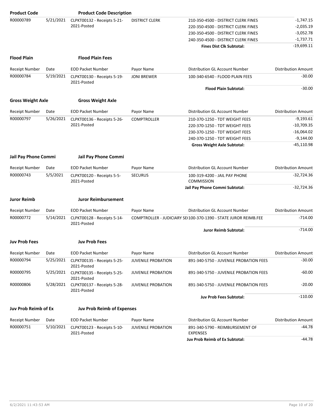| <b>Product Code</b>         |           | <b>Product Code Description</b>            |                           |                                                                 |                            |
|-----------------------------|-----------|--------------------------------------------|---------------------------|-----------------------------------------------------------------|----------------------------|
| R00000789                   | 5/21/2021 | CLPKT00132 - Receipts 5-21-                | <b>DISTRICT CLERK</b>     | 210-350-4500 - DISTRICT CLERK FINES                             | $-1,747.15$                |
|                             |           | 2021-Posted                                |                           | 220-350-4500 - DISTRICT CLERK FINES                             | $-2,035.19$                |
|                             |           |                                            |                           | 230-350-4500 - DISTRICT CLERK FINES                             | $-3,052.78$                |
|                             |           |                                            |                           | 240-350-4500 - DISTRICT CLERK FINES                             | $-1,737.71$                |
|                             |           |                                            |                           | <b>Fines Dist Clk Subtotal:</b>                                 | $-19,699.11$               |
| <b>Flood Plain</b>          |           | <b>Flood Plain Fees</b>                    |                           |                                                                 |                            |
|                             |           |                                            |                           |                                                                 |                            |
| <b>Receipt Number</b>       | Date      | <b>EOD Packet Number</b>                   | Payor Name                | Distribution GL Account Number                                  | <b>Distribution Amount</b> |
| R00000784                   | 5/19/2021 | CLPKT00130 - Receipts 5-19-<br>2021-Posted | <b>JONI BREWER</b>        | 100-340-6540 - FLOOD PLAIN FEES                                 | $-30.00$                   |
|                             |           |                                            |                           | <b>Flood Plain Subtotal:</b>                                    | $-30.00$                   |
| <b>Gross Weight Axle</b>    |           | <b>Gross Weight Axle</b>                   |                           |                                                                 |                            |
| <b>Receipt Number</b>       | Date      | <b>EOD Packet Number</b>                   | Payor Name                | Distribution GL Account Number                                  | <b>Distribution Amount</b> |
| R00000797                   | 5/26/2021 | CLPKT00136 - Receipts 5-26-                | <b>COMPTROLLER</b>        | 210-370-1250 - TDT WEIGHT FEES                                  | $-9,193.61$                |
|                             |           | 2021-Posted                                |                           | 220-370-1250 - TDT WEIGHT FEES                                  | $-10,709.35$               |
|                             |           |                                            |                           | 230-370-1250 - TDT WEIGHT FEES                                  | $-16,064.02$               |
|                             |           |                                            |                           | 240-370-1250 - TDT WEIGHT FEES                                  | $-9,144.00$                |
|                             |           |                                            |                           | <b>Gross Weight Axle Subtotal:</b>                              | $-45,110.98$               |
|                             |           |                                            |                           |                                                                 |                            |
| <b>Jail Pay Phone Commi</b> |           | Jail Pay Phone Commi                       |                           |                                                                 |                            |
| <b>Receipt Number</b>       | Date      | <b>EOD Packet Number</b>                   | Payor Name                | Distribution GL Account Number                                  | <b>Distribution Amount</b> |
| R00000743                   | 5/5/2021  | CLPKT00120 - Receipts 5-5-<br>2021-Posted  | <b>SECURUS</b>            | 100-319-4200 - JAIL PAY PHONE<br><b>COMMISSION</b>              | $-32,724.36$               |
|                             |           |                                            |                           | Jail Pay Phone Commi Subtotal:                                  | $-32,724.36$               |
| <b>Juror Reimb</b>          |           | <b>Juror Reimbursement</b>                 |                           |                                                                 |                            |
| <b>Receipt Number</b>       | Date      | <b>EOD Packet Number</b>                   | Payor Name                | Distribution GL Account Number                                  | <b>Distribution Amount</b> |
| R00000772                   | 5/14/2021 | CLPKT00128 - Receipts 5-14-                |                           | COMPTROLLER - JUDICIARY SE(100-370-1390 - STATE JUROR REIMB.FEE | $-714.00$                  |
|                             |           | 2021-Posted                                |                           |                                                                 |                            |
|                             |           |                                            |                           | <b>Juror Reimb Subtotal:</b>                                    | $-714.00$                  |
| Juv Prob Fees               |           | <b>Juv Prob Fees</b>                       |                           |                                                                 |                            |
| Receipt Number              | Date      | <b>EOD Packet Number</b>                   | Payor Name                | Distribution GL Account Number                                  | <b>Distribution Amount</b> |
| R00000794                   | 5/25/2021 | CLPKT00135 - Receipts 5-25-<br>2021-Posted | <b>JUVENILE PROBATION</b> | 891-340-5750 - JUVENILE PROBATION FEES                          | $-30.00$                   |
| R00000795                   | 5/25/2021 | CLPKT00135 - Receipts 5-25-<br>2021-Posted | <b>JUVENILE PROBATION</b> | 891-340-5750 - JUVENILE PROBATION FEES                          | $-60.00$                   |
| R00000806                   | 5/28/2021 | CLPKT00137 - Receipts 5-28-<br>2021-Posted | <b>JUVENILE PROBATION</b> | 891-340-5750 - JUVENILE PROBATION FEES                          | $-20.00$                   |
|                             |           |                                            |                           | <b>Juv Prob Fees Subtotal:</b>                                  | $-110.00$                  |
| Juv Prob Reimb of Ex        |           | <b>Juv Prob Reimb of Expenses</b>          |                           |                                                                 |                            |
| Receipt Number              | Date      | <b>EOD Packet Number</b>                   | Payor Name                | Distribution GL Account Number                                  | <b>Distribution Amount</b> |
| R00000751                   | 5/10/2021 | CLPKT00123 - Receipts 5-10-                | <b>JUVENILE PROBATION</b> | 891-340-5790 - REIMBURSEMENT OF                                 | -44.78                     |
|                             |           | 2021-Posted                                |                           | <b>EXPENSES</b><br><b>Juv Prob Reimb of Ex Subtotal:</b>        | -44.78                     |
|                             |           |                                            |                           |                                                                 |                            |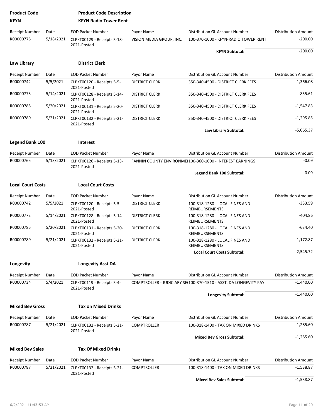| <b>Product Code</b>      |           | <b>Product Code Description</b>            |                          |                                                                  |                            |
|--------------------------|-----------|--------------------------------------------|--------------------------|------------------------------------------------------------------|----------------------------|
| <b>KFYN</b>              |           | <b>KFYN Radio Tower Rent</b>               |                          |                                                                  |                            |
| Receipt Number           | Date      | <b>EOD Packet Number</b>                   | Payor Name               | Distribution GL Account Number                                   | <b>Distribution Amount</b> |
| R00000775                | 5/18/2021 | CLPKT00129 - Receipts 5-18-                | VISION MEDIA GROUP, INC. | 100-370-1000 - KFYN-RADIO TOWER RENT                             | $-200.00$                  |
|                          |           | 2021-Posted                                |                          | <b>KFYN Subtotal:</b>                                            | $-200.00$                  |
|                          |           |                                            |                          |                                                                  |                            |
| Law Library              |           | <b>District Clerk</b>                      |                          |                                                                  |                            |
| <b>Receipt Number</b>    | Date      | <b>EOD Packet Number</b>                   | Payor Name               | Distribution GL Account Number                                   | <b>Distribution Amount</b> |
| R00000742                | 5/5/2021  | CLPKT00120 - Receipts 5-5-<br>2021-Posted  | <b>DISTRICT CLERK</b>    | 350-340-4500 - DISTRICT CLERK FEES                               | $-1,366.08$                |
| R00000773                | 5/14/2021 | CLPKT00128 - Receipts 5-14-<br>2021-Posted | <b>DISTRICT CLERK</b>    | 350-340-4500 - DISTRICT CLERK FEES                               | $-855.61$                  |
| R00000785                | 5/20/2021 | CLPKT00131 - Receipts 5-20-<br>2021-Posted | <b>DISTRICT CLERK</b>    | 350-340-4500 - DISTRICT CLERK FEES                               | -1,547.83                  |
| R00000789                | 5/21/2021 | CLPKT00132 - Receipts 5-21-<br>2021-Posted | <b>DISTRICT CLERK</b>    | 350-340-4500 - DISTRICT CLERK FEES                               | $-1,295.85$                |
|                          |           |                                            |                          | Law Library Subtotal:                                            | $-5,065.37$                |
| <b>Legend Bank 100</b>   |           | <b>Interest</b>                            |                          |                                                                  |                            |
| <b>Receipt Number</b>    | Date      | <b>EOD Packet Number</b>                   | Payor Name               | Distribution GL Account Number                                   | <b>Distribution Amount</b> |
| R00000765<br>5/13/2021   |           | CLPKT00126 - Receipts 5-13-<br>2021-Posted |                          | FANNIN COUNTY ENVIRONMEI100-360-1000 - INTEREST EARNINGS         | $-0.09$                    |
|                          |           |                                            |                          | Legend Bank 100 Subtotal:                                        | $-0.09$                    |
| <b>Local Court Costs</b> |           | <b>Local Court Costs</b>                   |                          |                                                                  |                            |
| <b>Receipt Number</b>    | Date      | <b>EOD Packet Number</b>                   | Payor Name               | Distribution GL Account Number                                   | <b>Distribution Amount</b> |
| R00000742                | 5/5/2021  | CLPKT00120 - Receipts 5-5-<br>2021-Posted  | <b>DISTRICT CLERK</b>    | 100-318-1280 - LOCAL FINES AND<br>REIMBURSEMENTS                 | $-333.59$                  |
| R00000773                | 5/14/2021 | CLPKT00128 - Receipts 5-14-<br>2021-Posted | <b>DISTRICT CLERK</b>    | 100-318-1280 - LOCAL FINES AND<br>REIMBURSEMENTS                 | $-404.86$                  |
| R00000785                | 5/20/2021 | CLPKT00131 - Receipts 5-20-<br>2021-Posted | <b>DISTRICT CLERK</b>    | 100-318-1280 - LOCAL FINES AND<br>REIMBURSEMENTS                 | $-634.40$                  |
| R00000789                | 5/21/2021 | CLPKT00132 - Receipts 5-21-<br>2021-Posted | <b>DISTRICT CLERK</b>    | 100-318-1280 - LOCAL FINES AND<br>REIMBURSEMENTS                 | $-1,172.87$                |
|                          |           |                                            |                          | <b>Local Court Costs Subtotal:</b>                               | $-2,545.72$                |
| Longevity                |           | <b>Longevity Asst DA</b>                   |                          |                                                                  |                            |
| <b>Receipt Number</b>    | Date      | <b>EOD Packet Number</b>                   | Payor Name               | <b>Distribution GL Account Number</b>                            | <b>Distribution Amount</b> |
| R00000734                | 5/4/2021  | CLPKT00119 - Receipts 5-4-<br>2021-Posted  |                          | COMPTROLLER - JUDICIARY SE(100-370-1510 - ASST. DA LONGEVITY PAY | $-1,440.00$                |
|                          |           |                                            |                          | <b>Longevity Subtotal:</b>                                       | $-1,440.00$                |
| <b>Mixed Bev Gross</b>   |           | <b>Tax on Mixed Drinks</b>                 |                          |                                                                  |                            |
| <b>Receipt Number</b>    | Date      | <b>EOD Packet Number</b>                   | Payor Name               | Distribution GL Account Number                                   | <b>Distribution Amount</b> |
| R00000787                | 5/21/2021 | CLPKT00132 - Receipts 5-21-                | <b>COMPTROLLER</b>       | 100-318-1400 - TAX ON MIXED DRINKS                               | $-1,285.60$                |
|                          |           | 2021-Posted                                |                          | <b>Mixed Bev Gross Subtotal:</b>                                 | $-1,285.60$                |
| <b>Mixed Bev Sales</b>   |           | <b>Tax Of Mixed Drinks</b>                 |                          |                                                                  |                            |
| <b>Receipt Number</b>    | Date      | <b>EOD Packet Number</b>                   | Payor Name               | Distribution GL Account Number                                   | <b>Distribution Amount</b> |
| R00000787                | 5/21/2021 | CLPKT00132 - Receipts 5-21-<br>2021-Posted | <b>COMPTROLLER</b>       | 100-318-1400 - TAX ON MIXED DRINKS                               | $-1,538.87$                |
|                          |           |                                            |                          | <b>Mixed Bev Sales Subtotal:</b>                                 | $-1,538.87$                |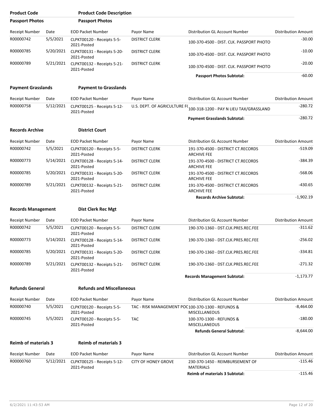| <b>Product Code</b>         |           | <b>Product Code Description</b>            |                                                   |                                                          |                            |
|-----------------------------|-----------|--------------------------------------------|---------------------------------------------------|----------------------------------------------------------|----------------------------|
| <b>Passport Photos</b>      |           | <b>Passport Photos</b>                     |                                                   |                                                          |                            |
| <b>Receipt Number</b>       | Date      | <b>EOD Packet Number</b>                   | Payor Name                                        | Distribution GL Account Number                           | <b>Distribution Amount</b> |
| R00000742                   | 5/5/2021  | CLPKT00120 - Receipts 5-5-<br>2021-Posted  | <b>DISTRICT CLERK</b>                             | 100-370-4500 - DIST. CLK. PASSPORT PHOTO                 | $-30.00$                   |
| R00000785                   | 5/20/2021 | CLPKT00131 - Receipts 5-20-<br>2021-Posted | <b>DISTRICT CLERK</b>                             | 100-370-4500 - DIST. CLK. PASSPORT PHOTO                 | $-10.00$                   |
| R00000789                   | 5/21/2021 | CLPKT00132 - Receipts 5-21-<br>2021-Posted | <b>DISTRICT CLERK</b>                             | 100-370-4500 - DIST. CLK. PASSPORT PHOTO                 | $-20.00$                   |
|                             |           |                                            |                                                   | <b>Passport Photos Subtotal:</b>                         | $-60.00$                   |
| <b>Payment Grasslands</b>   |           | <b>Payment to Grasslands</b>               |                                                   |                                                          |                            |
| <b>Receipt Number</b>       | Date      | <b>EOD Packet Number</b>                   | Payor Name                                        | Distribution GL Account Number                           | <b>Distribution Amount</b> |
| R00000758                   | 5/12/2021 | CLPKT00125 - Receipts 5-12-<br>2021-Posted | U.S. DEPT. OF AGRICULTURE F(                      | 100-318-1200 - PAY N LIEU TAX/GRASSLAND                  | $-280.72$                  |
|                             |           |                                            |                                                   | <b>Payment Grasslands Subtotal:</b>                      | $-280.72$                  |
| <b>Records Archive</b>      |           | <b>District Court</b>                      |                                                   |                                                          |                            |
| <b>Receipt Number</b>       | Date      | <b>EOD Packet Number</b>                   | Payor Name                                        | Distribution GL Account Number                           | <b>Distribution Amount</b> |
| R00000742                   | 5/5/2021  | CLPKT00120 - Receipts 5-5-<br>2021-Posted  | <b>DISTRICT CLERK</b>                             | 191-370-4500 - DISTRICT CT.RECORDS<br><b>ARCHIVE FEE</b> | $-519.09$                  |
| R00000773                   | 5/14/2021 | CLPKT00128 - Receipts 5-14-<br>2021-Posted | <b>DISTRICT CLERK</b>                             | 191-370-4500 - DISTRICT CT.RECORDS<br><b>ARCHIVE FEE</b> | $-384.39$                  |
| R00000785                   | 5/20/2021 | CLPKT00131 - Receipts 5-20-<br>2021-Posted | <b>DISTRICT CLERK</b>                             | 191-370-4500 - DISTRICT CT.RECORDS<br><b>ARCHIVE FEE</b> | $-568.06$                  |
| R00000789                   | 5/21/2021 | CLPKT00132 - Receipts 5-21-<br>2021-Posted | <b>DISTRICT CLERK</b>                             | 191-370-4500 - DISTRICT CT.RECORDS<br><b>ARCHIVE FEE</b> | $-430.65$                  |
|                             |           |                                            |                                                   | <b>Records Archive Subtotal:</b>                         | $-1,902.19$                |
| <b>Records Management</b>   |           | <b>Dist Clerk Rec Mgt</b>                  |                                                   |                                                          |                            |
| Receipt Number              | Date      | <b>EOD Packet Number</b>                   | Payor Name                                        | Distribution GL Account Number                           | <b>Distribution Amount</b> |
| R00000742                   | 5/5/2021  | CLPKT00120 - Receipts 5-5-<br>2021-Posted  | <b>DISTRICT CLERK</b>                             | 190-370-1360 - DST.CLK.PRES.REC.FEE                      | $-311.62$                  |
| R00000773                   | 5/14/2021 | CLPKT00128 - Receipts 5-14-<br>2021-Posted | <b>DISTRICT CLERK</b>                             | 190-370-1360 - DST.CLK.PRES.REC.FEE                      | $-256.02$                  |
| R00000785                   | 5/20/2021 | CLPKT00131 - Receipts 5-20-<br>2021-Posted | <b>DISTRICT CLERK</b>                             | 190-370-1360 - DST.CLK.PRES.REC.FEE                      | $-334.81$                  |
| R00000789                   | 5/21/2021 | CLPKT00132 - Receipts 5-21-<br>2021-Posted | <b>DISTRICT CLERK</b>                             | 190-370-1360 - DST.CLK.PRES.REC.FEE                      | -271.32                    |
|                             |           |                                            |                                                   | <b>Records Management Subtotal:</b>                      | -1,173.77                  |
| <b>Refunds General</b>      |           | <b>Refunds and Miscellaneous</b>           |                                                   |                                                          |                            |
| <b>Receipt Number</b>       | Date      | <b>EOD Packet Number</b>                   | Payor Name                                        | Distribution GL Account Number                           | <b>Distribution Amount</b> |
| R00000740                   | 5/5/2021  | CLPKT00120 - Receipts 5-5-<br>2021-Posted  | TAC - RISK MANAGEMENT POC100-370-1300 - REFUNDS & | <b>MISCELLANEOUS</b>                                     | $-8,464.00$                |
| R00000745                   | 5/5/2021  | CLPKT00120 - Receipts 5-5-<br>2021-Posted  | <b>TAC</b>                                        | 100-370-1300 - REFUNDS &<br><b>MISCELLANEOUS</b>         | $-180.00$                  |
|                             |           |                                            |                                                   | <b>Refunds General Subtotal:</b>                         | $-8,644.00$                |
| <b>Reimb of materials 3</b> |           | <b>Reimb of materials 3</b>                |                                                   |                                                          |                            |
| <b>Receipt Number</b>       | Date      | <b>EOD Packet Number</b>                   | Payor Name                                        | Distribution GL Account Number                           | Distribution Amount        |
| R00000760                   | 5/12/2021 | CLPKT00125 - Receipts 5-12-<br>2021-Posted | <b>CITY OF HONEY GROVE</b>                        | 230-370-1450 - REIMBURSEMENT OF<br><b>MATERIALS</b>      | $-115.46$                  |
|                             |           |                                            |                                                   | <b>Reimb of materials 3 Subtotal:</b>                    | $-115.46$                  |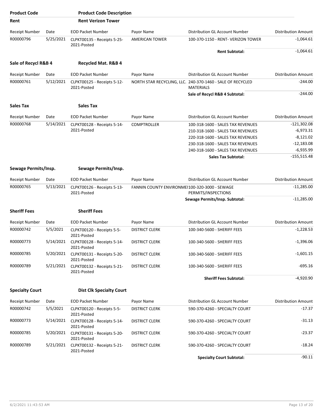| <b>Product Code</b>    |           | <b>Product Code Description</b>            |                                               |                                                                                |                            |
|------------------------|-----------|--------------------------------------------|-----------------------------------------------|--------------------------------------------------------------------------------|----------------------------|
| Rent                   |           | <b>Rent Verizon Tower</b>                  |                                               |                                                                                |                            |
| <b>Receipt Number</b>  | Date      | <b>EOD Packet Number</b>                   | Payor Name                                    | Distribution GL Account Number                                                 | <b>Distribution Amount</b> |
| R00000796              | 5/25/2021 | CLPKT00135 - Receipts 5-25-<br>2021-Posted | <b>AMERICAN TOWER</b>                         | 100-370-1150 - RENT- VERIZON TOWER                                             | $-1,064.61$                |
|                        |           |                                            |                                               | <b>Rent Subtotal:</b>                                                          | $-1,064.61$                |
| Sale of Recycl R&B 4   |           | Recycled Mat. R&B 4                        |                                               |                                                                                |                            |
| <b>Receipt Number</b>  | Date      | <b>EOD Packet Number</b>                   | Payor Name                                    | Distribution GL Account Number                                                 | <b>Distribution Amount</b> |
| R00000761              | 5/12/2021 | CLPKT00125 - Receipts 5-12-<br>2021-Posted |                                               | NORTH STAR RECYCLING, LLC. 240-370-1460 - SALE OF RECYCLED<br><b>MATERIALS</b> | $-244.00$                  |
|                        |           |                                            |                                               | Sale of Recycl R&B 4 Subtotal:                                                 | $-244.00$                  |
| <b>Sales Tax</b>       |           | <b>Sales Tax</b>                           |                                               |                                                                                |                            |
| <b>Receipt Number</b>  | Date      | <b>EOD Packet Number</b>                   | Payor Name                                    | Distribution GL Account Number                                                 | <b>Distribution Amount</b> |
| R00000768              | 5/14/2021 | CLPKT00128 - Receipts 5-14-                | <b>COMPTROLLER</b>                            | 100-318-1600 - SALES TAX REVENUES                                              | $-121,302.08$              |
|                        |           | 2021-Posted                                |                                               | 210-318-1600 - SALES TAX REVENUES                                              | $-6,973.31$                |
|                        |           |                                            |                                               | 220-318-1600 - SALES TAX REVENUES                                              | $-8,121.02$                |
|                        |           |                                            |                                               | 230-318-1600 - SALES TAX REVENUES                                              | $-12,183.08$               |
|                        |           |                                            |                                               | 240-318-1600 - SALES TAX REVENUES                                              | $-6,935.99$                |
|                        |           |                                            |                                               | <b>Sales Tax Subtotal:</b>                                                     | $-155,515.48$              |
| Sewage Permits/Insp.   |           | Sewage Permits/Insp.                       |                                               |                                                                                |                            |
| <b>Receipt Number</b>  | Date      | <b>EOD Packet Number</b>                   | Payor Name                                    | Distribution GL Account Number                                                 | <b>Distribution Amount</b> |
| R00000765              | 5/13/2021 | CLPKT00126 - Receipts 5-13-<br>2021-Posted | FANNIN COUNTY ENVIRONMEI100-320-3000 - SEWAGE | PERMITS/INSPECTIONS                                                            | $-11,285.00$               |
|                        |           |                                            |                                               | Sewage Permits/Insp. Subtotal:                                                 | $-11,285.00$               |
| <b>Sheriff Fees</b>    |           | <b>Sheriff Fees</b>                        |                                               |                                                                                |                            |
| Receipt Number         | Date      | <b>EOD Packet Number</b>                   | Payor Name                                    | <b>Distribution GL Account Number</b>                                          | <b>Distribution Amount</b> |
| R00000742              | 5/5/2021  | CLPKT00120 - Receipts 5-5-<br>2021-Posted  | <b>DISTRICT CLERK</b>                         | 100-340-5600 - SHERIFF FEES                                                    | $-1,228.53$                |
| R00000773              | 5/14/2021 | CLPKT00128 - Receipts 5-14-<br>2021-Posted | <b>DISTRICT CLERK</b>                         | 100-340-5600 - SHERIFF FEES                                                    | $-1,396.06$                |
| R00000785              | 5/20/2021 | CLPKT00131 - Receipts 5-20-<br>2021-Posted | <b>DISTRICT CLERK</b>                         | 100-340-5600 - SHERIFF FEES                                                    | $-1,601.15$                |
| R00000789              | 5/21/2021 | CLPKT00132 - Receipts 5-21-<br>2021-Posted | <b>DISTRICT CLERK</b>                         | 100-340-5600 - SHERIFF FEES                                                    | $-695.16$                  |
|                        |           |                                            |                                               | <b>Sheriff Fees Subtotal:</b>                                                  | $-4,920.90$                |
| <b>Specialty Court</b> |           | <b>Dist Clk Specialty Court</b>            |                                               |                                                                                |                            |
| Receipt Number         | Date      | <b>EOD Packet Number</b>                   | Payor Name                                    | Distribution GL Account Number                                                 | <b>Distribution Amount</b> |
| R00000742              | 5/5/2021  | CLPKT00120 - Receipts 5-5-<br>2021-Posted  | <b>DISTRICT CLERK</b>                         | 590-370-4260 - SPECIALTY COURT                                                 | $-17.37$                   |
| R00000773              | 5/14/2021 | CLPKT00128 - Receipts 5-14-<br>2021-Posted | <b>DISTRICT CLERK</b>                         | 590-370-4260 - SPECIALTY COURT                                                 | $-31.13$                   |
| R00000785              | 5/20/2021 | CLPKT00131 - Receipts 5-20-<br>2021-Posted | <b>DISTRICT CLERK</b>                         | 590-370-4260 - SPECIALTY COURT                                                 | $-23.37$                   |
| R00000789              | 5/21/2021 | CLPKT00132 - Receipts 5-21-<br>2021-Posted | <b>DISTRICT CLERK</b>                         | 590-370-4260 - SPECIALTY COURT                                                 | $-18.24$                   |
|                        |           |                                            |                                               | <b>Specialty Court Subtotal:</b>                                               | $-90.11$                   |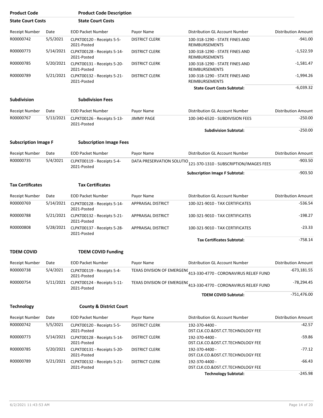| <b>Product Code</b>         |           | <b>Product Code Description</b>            |                           |                                                                   |                            |
|-----------------------------|-----------|--------------------------------------------|---------------------------|-------------------------------------------------------------------|----------------------------|
| <b>State Court Costs</b>    |           | <b>State Court Costs</b>                   |                           |                                                                   |                            |
| <b>Receipt Number</b>       | Date      | <b>EOD Packet Number</b>                   | Payor Name                | Distribution GL Account Number                                    | <b>Distribution Amount</b> |
| R00000742                   | 5/5/2021  | CLPKT00120 - Receipts 5-5-<br>2021-Posted  | <b>DISTRICT CLERK</b>     | 100-318-1290 - STATE FINES AND<br><b>REIMBURSEMENTS</b>           | $-941.00$                  |
| R00000773                   | 5/14/2021 | CLPKT00128 - Receipts 5-14-<br>2021-Posted | <b>DISTRICT CLERK</b>     | 100-318-1290 - STATE FINES AND<br>REIMBURSEMENTS                  | $-1,522.59$                |
| R00000785                   | 5/20/2021 | CLPKT00131 - Receipts 5-20-<br>2021-Posted | <b>DISTRICT CLERK</b>     | 100-318-1290 - STATE FINES AND<br>REIMBURSEMENTS                  | $-1,581.47$                |
| R00000789                   | 5/21/2021 | CLPKT00132 - Receipts 5-21-<br>2021-Posted | <b>DISTRICT CLERK</b>     | 100-318-1290 - STATE FINES AND<br><b>REIMBURSEMENTS</b>           | $-1,994.26$                |
|                             |           |                                            |                           | <b>State Court Costs Subtotal:</b>                                | $-6,039.32$                |
| <b>Subdivision</b>          |           | <b>Subdivision Fees</b>                    |                           |                                                                   |                            |
| Receipt Number              | Date      | <b>EOD Packet Number</b>                   | Payor Name                | Distribution GL Account Number                                    | <b>Distribution Amount</b> |
| R00000767                   | 5/13/2021 | CLPKT00126 - Receipts 5-13-<br>2021-Posted | <b>JIMMY PAGE</b>         | 100-340-6520 - SUBDIVISION FEES                                   | $-250.00$                  |
|                             |           |                                            |                           | <b>Subdivision Subtotal:</b>                                      | $-250.00$                  |
| <b>Subscription Image F</b> |           | <b>Subscription Image Fees</b>             |                           |                                                                   |                            |
| <b>Receipt Number</b>       | Date      | <b>EOD Packet Number</b>                   | Payor Name                | Distribution GL Account Number                                    | <b>Distribution Amount</b> |
| R00000735                   | 5/4/2021  | CLPKT00119 - Receipts 5-4-<br>2021-Posted  | DATA PRESERVATION SOLUTIO | 121-370-1310 - SUBSCRIPTION/IMAGES FEES                           | $-903.50$                  |
|                             |           |                                            |                           | <b>Subscription Image F Subtotal:</b>                             | $-903.50$                  |
| <b>Tax Certificates</b>     |           | <b>Tax Certificates</b>                    |                           |                                                                   |                            |
| <b>Receipt Number</b>       | Date      | <b>EOD Packet Number</b>                   | Payor Name                | Distribution GL Account Number                                    | <b>Distribution Amount</b> |
| R00000769                   | 5/14/2021 | CLPKT00128 - Receipts 5-14-<br>2021-Posted | <b>APPRAISAL DISTRICT</b> | 100-321-9010 - TAX CERTIFICATES                                   | $-536.54$                  |
| R00000788                   | 5/21/2021 | CLPKT00132 - Receipts 5-21-<br>2021-Posted | APPRAISAL DISTRICT        | 100-321-9010 - TAX CERTIFICATES                                   | $-198.27$                  |
| R00000808                   | 5/28/2021 | CLPKT00137 - Receipts 5-28-<br>2021-Posted | <b>APPRAISAL DISTRICT</b> | 100-321-9010 - TAX CERTIFICATES                                   | $-23.33$                   |
|                             |           |                                            |                           | <b>Tax Certificates Subtotal:</b>                                 | $-758.14$                  |
| <b>TDEM COVID</b>           |           | <b>TDEM COVID Funding</b>                  |                           |                                                                   |                            |
| <b>Receipt Number</b>       | Date      | <b>EOD Packet Number</b>                   | Payor Name                | Distribution GL Account Number                                    | <b>Distribution Amount</b> |
| R00000738                   | 5/4/2021  | CLPKT00119 - Receipts 5-4-<br>2021-Posted  |                           | TEXAS DIVISION OF EMERGENC 413-330-4770 - CORONAVIRUS RELIEF FUND | $-673,181.55$              |
| R00000754                   | 5/11/2021 | CLPKT00124 - Receipts 5-11-<br>2021-Posted |                           | TEXAS DIVISION OF EMERGENC 413-330-4770 - CORONAVIRUS RELIEF FUND | $-78,294.45$               |
|                             |           |                                            |                           | <b>TDEM COVID Subtotal:</b>                                       | $-751,476.00$              |
| <b>Technology</b>           |           | <b>County &amp; District Court</b>         |                           |                                                                   |                            |
| Receipt Number              | Date      | <b>EOD Packet Number</b>                   | Payor Name                | Distribution GL Account Number                                    | <b>Distribution Amount</b> |
| R00000742                   | 5/5/2021  | CLPKT00120 - Receipts 5-5-<br>2021-Posted  | <b>DISTRICT CLERK</b>     | 192-370-4400 -<br>DST.CLK.CO.&DST.CT.TECHNOLOGY FEE               | $-42.57$                   |
| R00000773                   | 5/14/2021 | CLPKT00128 - Receipts 5-14-<br>2021-Posted | <b>DISTRICT CLERK</b>     | 192-370-4400 -<br>DST.CLK.CO.&DST.CT.TECHNOLOGY FEE               | $-59.86$                   |
| R00000785                   | 5/20/2021 | CLPKT00131 - Receipts 5-20-<br>2021-Posted | <b>DISTRICT CLERK</b>     | 192-370-4400 -<br>DST.CLK.CO.&DST.CT.TECHNOLOGY FEE               | $-77.12$                   |
| R00000789                   | 5/21/2021 | CLPKT00132 - Receipts 5-21-<br>2021-Posted | <b>DISTRICT CLERK</b>     | 192-370-4400 -<br>DST.CLK.CO.&DST.CT.TECHNOLOGY FEE               | $-66.43$                   |
|                             |           |                                            |                           | <b>Technology Subtotal:</b>                                       | $-245.98$                  |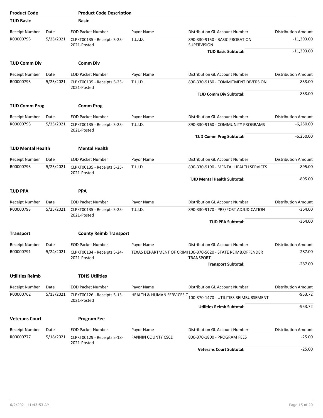| <b>Product Code</b>       |           | <b>Product Code Description</b>            |                           |                                                                                   |                            |
|---------------------------|-----------|--------------------------------------------|---------------------------|-----------------------------------------------------------------------------------|----------------------------|
| <b>TJJD Basic</b>         |           | <b>Basic</b>                               |                           |                                                                                   |                            |
| <b>Receipt Number</b>     | Date      | <b>EOD Packet Number</b>                   | Payor Name                | Distribution GL Account Number                                                    | <b>Distribution Amount</b> |
| R00000793                 | 5/25/2021 | CLPKT00135 - Receipts 5-25-<br>2021-Posted | T.J.J.D.                  | 890-330-9150 - BASIC PROBATION<br>SUPERVISION                                     | $-11,393.00$               |
|                           |           |                                            |                           | <b>TJJD Basic Subtotal:</b>                                                       | $-11,393.00$               |
| <b>TJJD Comm Div</b>      |           | <b>Comm Div</b>                            |                           |                                                                                   |                            |
| <b>Receipt Number</b>     | Date      | <b>EOD Packet Number</b>                   | Payor Name                | Distribution GL Account Number                                                    | <b>Distribution Amount</b> |
| R00000793                 | 5/25/2021 | CLPKT00135 - Receipts 5-25-<br>2021-Posted | T.J.J.D.                  | 890-330-9180 - COMMITMENT DIVERSION                                               | $-833.00$                  |
|                           |           |                                            |                           | <b>TJJD Comm Div Subtotal:</b>                                                    | $-833.00$                  |
| <b>TJJD Comm Prog</b>     |           | <b>Comm Prog</b>                           |                           |                                                                                   |                            |
| <b>Receipt Number</b>     | Date      | <b>EOD Packet Number</b>                   | Payor Name                | Distribution GL Account Number                                                    | <b>Distribution Amount</b> |
| R00000793                 | 5/25/2021 | CLPKT00135 - Receipts 5-25-<br>2021-Posted | T.J.J.D.                  | 890-330-9160 - COMMUNITY PROGRAMS                                                 | $-6,250.00$                |
|                           |           |                                            |                           | <b>TJJD Comm Prog Subtotal:</b>                                                   | $-6,250.00$                |
| <b>TJJD Mental Health</b> |           | <b>Mental Health</b>                       |                           |                                                                                   |                            |
| <b>Receipt Number</b>     | Date      | <b>EOD Packet Number</b>                   | Payor Name                | Distribution GL Account Number                                                    | <b>Distribution Amount</b> |
| R00000793                 | 5/25/2021 | CLPKT00135 - Receipts 5-25-<br>2021-Posted | T.J.J.D.                  | 890-330-9190 - MENTAL HEALTH SERVICES                                             | $-895.00$                  |
|                           |           |                                            |                           | TJJD Mental Health Subtotal:                                                      | $-895.00$                  |
| <b>TJJD PPA</b>           |           | <b>PPA</b>                                 |                           |                                                                                   |                            |
| <b>Receipt Number</b>     | Date      | <b>EOD Packet Number</b>                   | Payor Name                | Distribution GL Account Number                                                    | <b>Distribution Amount</b> |
| R00000793                 | 5/25/2021 | CLPKT00135 - Receipts 5-25-<br>2021-Posted | T.J.J.D.                  | 890-330-9170 - PRE/POST ADJUDICATION                                              | -364.00                    |
|                           |           |                                            |                           | <b>TJJD PPA Subtotal:</b>                                                         | $-364.00$                  |
| <b>Transport</b>          |           | <b>County Reimb Transport</b>              |                           |                                                                                   |                            |
| Receipt Number            | Date      | <b>EOD Packet Number</b>                   | Payor Name                | Distribution GL Account Number                                                    | <b>Distribution Amount</b> |
| R00000791                 | 5/24/2021 | CLPKT00134 - Receipts 5-24-<br>2021-Posted |                           | TEXAS DEPARTMENT OF CRIMI 100-370-5620 - STATE REIMB.OFFENDER<br><b>TRANSPORT</b> | $-287.00$                  |
|                           |           |                                            |                           | <b>Transport Subtotal:</b>                                                        | $-287.00$                  |
| <b>Utilities Reimb</b>    |           | <b>TDHS Utilities</b>                      |                           |                                                                                   |                            |
| Receipt Number            | Date      | <b>EOD Packet Number</b>                   | Payor Name                | Distribution GL Account Number                                                    | <b>Distribution Amount</b> |
| R00000762                 | 5/13/2021 | CLPKT00126 - Receipts 5-13-<br>2021-Posted |                           | HEALTH & HUMAN SERVICES C 100-370-1470 - UTILITIES REIMBURSEMENT                  | -953.72                    |
|                           |           |                                            |                           | <b>Utilities Reimb Subtotal:</b>                                                  | $-953.72$                  |
| <b>Veterans Court</b>     |           | <b>Program Fee</b>                         |                           |                                                                                   |                            |
| <b>Receipt Number</b>     | Date      | <b>EOD Packet Number</b>                   | Payor Name                | Distribution GL Account Number                                                    | <b>Distribution Amount</b> |
| R00000777                 | 5/18/2021 | CLPKT00129 - Receipts 5-18-<br>2021-Posted | <b>FANNIN COUNTY CSCD</b> | 800-370-1800 - PROGRAM FEES                                                       | $-25.00$                   |
|                           |           |                                            |                           | <b>Veterans Court Subtotal:</b>                                                   | $-25.00$                   |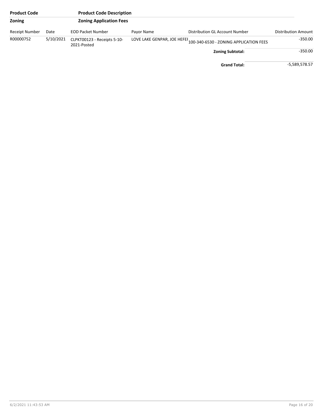| <b>Product Code</b> |           | <b>Product Code Description</b>            |            |                                                                               |                            |
|---------------------|-----------|--------------------------------------------|------------|-------------------------------------------------------------------------------|----------------------------|
| Zoning              |           | <b>Zoning Application Fees</b>             |            |                                                                               |                            |
| Receipt Number      | Date      | <b>EOD Packet Number</b>                   | Payor Name | Distribution GL Account Number                                                | <b>Distribution Amount</b> |
| R00000752           | 5/10/2021 | CLPKT00123 - Receipts 5-10-<br>2021-Posted |            | LOVE LAKE GENPAR, JOE HEFEF <sub>100-340-6530 - ZONING APPLICATION FEES</sub> | $-350.00$                  |
|                     |           |                                            |            | <b>Zoning Subtotal:</b>                                                       | $-350.00$                  |
|                     |           |                                            |            | <b>Grand Total:</b>                                                           | -5,589,578.57              |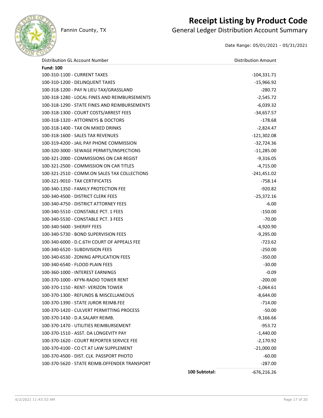

### **Receipt Listing by Product Code**

Fannin County, TX **General Ledger Distribution Account Summary** 

Date Range: 05/01/2021 - 05/31/2021

| Distribution GL Account Number                |               | <b>Distribution Amount</b> |
|-----------------------------------------------|---------------|----------------------------|
| <b>Fund: 100</b>                              |               |                            |
| 100-310-1100 - CURRENT TAXES                  |               | $-104,331.71$              |
| 100-310-1200 - DELINQUENT TAXES               |               | $-15,966.92$               |
| 100-318-1200 - PAY N LIEU TAX/GRASSLAND       |               | $-280.72$                  |
| 100-318-1280 - LOCAL FINES AND REIMBURSEMENTS |               | $-2,545.72$                |
| 100-318-1290 - STATE FINES AND REIMBURSEMENTS |               | $-6,039.32$                |
| 100-318-1300 - COURT COSTS/ARREST FEES        |               | $-34,657.57$               |
| 100-318-1320 - ATTORNEYS & DOCTORS            |               | $-178.68$                  |
| 100-318-1400 - TAX ON MIXED DRINKS            |               | $-2,824.47$                |
| 100-318-1600 - SALES TAX REVENUES             |               | $-121,302.08$              |
| 100-319-4200 - JAIL PAY PHONE COMMISSION      |               | $-32,724.36$               |
| 100-320-3000 - SEWAGE PERMITS/INSPECTIONS     |               | $-11,285.00$               |
| 100-321-2000 - COMMISSIONS ON CAR REGIST      |               | $-9,316.05$                |
| 100-321-2500 - COMMISSION ON CAR TITLES       |               | $-4,715.00$                |
| 100-321-2510 - COMM.ON SALES TAX COLLECTIONS  |               | $-241,451.02$              |
| 100-321-9010 - TAX CERTIFICATES               |               | $-758.14$                  |
| 100-340-1350 - FAMILY PROTECTION FEE          |               | $-920.82$                  |
| 100-340-4500 - DISTRICT CLERK FEES            |               | $-25,372.16$               |
| 100-340-4750 - DISTRICT ATTORNEY FEES         |               | $-6.00$                    |
| 100-340-5510 - CONSTABLE PCT. 1 FEES          |               | $-150.00$                  |
| 100-340-5530 - CONSTABLE PCT. 3 FEES          |               | $-70.00$                   |
| 100-340-5600 - SHERIFF FEES                   |               | $-4,920.90$                |
| 100-340-5730 - BOND SUPERVISION FEES          |               | $-9,295.00$                |
| 100-340-6000 - D.C.6TH COURT OF APPEALS FEE   |               | $-723.62$                  |
| 100-340-6520 - SUBDIVISION FEES               |               | $-250.00$                  |
| 100-340-6530 - ZONING APPLICATION FEES        |               | $-350.00$                  |
| 100-340-6540 - FLOOD PLAIN FEES               |               | $-30.00$                   |
| 100-360-1000 - INTEREST EARNINGS              |               | $-0.09$                    |
| 100-370-1000 - KFYN-RADIO TOWER RENT          |               | $-200.00$                  |
| 100-370-1150 - RENT- VERIZON TOWER            |               | $-1,064.61$                |
| 100-370-1300 - REFUNDS & MISCELLANEOUS        |               | $-8,644.00$                |
| 100-370-1390 - STATE JUROR REIMB.FEE          |               | $-714.00$                  |
| 100-370-1420 - CULVERT PERMITTING PROCESS     |               | $-50.00$                   |
| 100-370-1430 - D.A.SALARY REIMB.              |               | $-9,166.66$                |
| 100-370-1470 - UTILITIES REIMBURSEMENT        |               | $-953.72$                  |
| 100-370-1510 - ASST. DA LONGEVITY PAY         |               | $-1,440.00$                |
| 100-370-1620 - COURT REPORTER SERVICE FEE     |               | $-2,170.92$                |
| 100-370-4100 - CO CT AT LAW SUPPLEMENT        |               | $-21,000.00$               |
| 100-370-4500 - DIST. CLK. PASSPORT PHOTO      |               | $-60.00$                   |
| 100-370-5620 - STATE REIMB.OFFENDER TRANSPORT |               | $-287.00$                  |
|                                               | 100 Subtotal: | $-676,216.26$              |
|                                               |               |                            |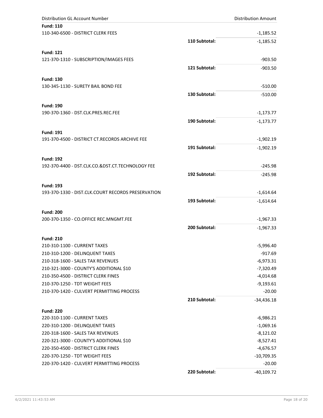| Distribution GL Account Number                     |               | <b>Distribution Amount</b> |
|----------------------------------------------------|---------------|----------------------------|
| <b>Fund: 110</b>                                   |               |                            |
| 110-340-6500 - DISTRICT CLERK FEES                 |               | $-1,185.52$                |
|                                                    | 110 Subtotal: | $-1,185.52$                |
| <b>Fund: 121</b>                                   |               |                            |
| 121-370-1310 - SUBSCRIPTION/IMAGES FEES            |               | $-903.50$                  |
|                                                    | 121 Subtotal: | $-903.50$                  |
| <b>Fund: 130</b>                                   |               |                            |
| 130-345-1130 - SURETY BAIL BOND FEE                |               | $-510.00$                  |
|                                                    | 130 Subtotal: | $-510.00$                  |
| <b>Fund: 190</b>                                   |               |                            |
| 190-370-1360 - DST.CLK.PRES.REC.FEE                |               | $-1,173.77$                |
|                                                    | 190 Subtotal: | $-1,173.77$                |
| <b>Fund: 191</b>                                   |               |                            |
| 191-370-4500 - DISTRICT CT.RECORDS ARCHIVE FEE     |               | $-1,902.19$                |
|                                                    | 191 Subtotal: | $-1,902.19$                |
| <b>Fund: 192</b>                                   |               |                            |
| 192-370-4400 - DST.CLK.CO.&DST.CT.TECHNOLOGY FEE   |               | $-245.98$                  |
|                                                    | 192 Subtotal: | $-245.98$                  |
| <b>Fund: 193</b>                                   |               |                            |
| 193-370-1330 - DIST.CLK.COURT RECORDS PRESERVATION |               | $-1,614.64$                |
|                                                    | 193 Subtotal: | $-1,614.64$                |
| <b>Fund: 200</b>                                   |               |                            |
| 200-370-1350 - CO.OFFICE REC.MNGMT.FEE             |               | $-1,967.33$                |
|                                                    | 200 Subtotal: | $-1,967.33$                |
| <b>Fund: 210</b>                                   |               |                            |
| 210-310-1100 - CURRENT TAXES                       |               | $-5,996.40$                |
| 210-310-1200 - DELINQUENT TAXES                    |               | -917.69                    |
| 210-318-1600 - SALES TAX REVENUES                  |               | $-6,973.31$                |
| 210-321-3000 - COUNTY'S ADDITIONAL \$10            |               | $-7,320.49$                |
| 210-350-4500 - DISTRICT CLERK FINES                |               | $-4,014.68$                |
| 210-370-1250 - TDT WEIGHT FEES                     |               | $-9,193.61$                |
| 210-370-1420 - CULVERT PERMITTING PROCESS          |               | $-20.00$                   |
|                                                    | 210 Subtotal: | $-34,436.18$               |
| <b>Fund: 220</b>                                   |               |                            |
| 220-310-1100 - CURRENT TAXES                       |               | $-6,986.21$                |
| 220-310-1200 - DELINQUENT TAXES                    |               | $-1,069.16$                |
| 220-318-1600 - SALES TAX REVENUES                  |               | $-8,121.02$                |
| 220-321-3000 - COUNTY'S ADDITIONAL \$10            |               | $-8,527.41$                |
| 220-350-4500 - DISTRICT CLERK FINES                |               | $-4,676.57$                |
| 220-370-1250 - TDT WEIGHT FEES                     |               | $-10,709.35$               |
| 220-370-1420 - CULVERT PERMITTING PROCESS          |               | $-20.00$                   |
|                                                    | 220 Subtotal: | $-40,109.72$               |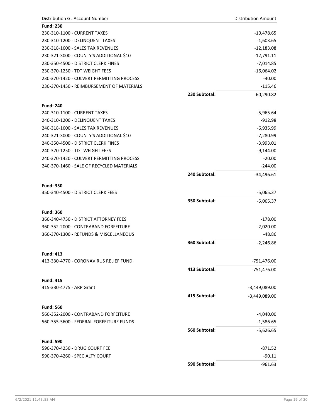| <b>Distribution GL Account Number</b>     |               | <b>Distribution Amount</b> |
|-------------------------------------------|---------------|----------------------------|
| <b>Fund: 230</b>                          |               |                            |
| 230-310-1100 - CURRENT TAXES              |               | $-10,478.65$               |
| 230-310-1200 - DELINQUENT TAXES           |               | $-1,603.65$                |
| 230-318-1600 - SALES TAX REVENUES         |               | $-12,183.08$               |
| 230-321-3000 - COUNTY'S ADDITIONAL \$10   |               | $-12,791.11$               |
| 230-350-4500 - DISTRICT CLERK FINES       |               | $-7,014.85$                |
| 230-370-1250 - TDT WEIGHT FEES            |               | $-16,064.02$               |
| 230-370-1420 - CULVERT PERMITTING PROCESS |               | $-40.00$                   |
| 230-370-1450 - REIMBURSEMENT OF MATERIALS |               | $-115.46$                  |
|                                           | 230 Subtotal: | $-60,290.82$               |
| <b>Fund: 240</b>                          |               |                            |
| 240-310-1100 - CURRENT TAXES              |               | -5,965.64                  |
| 240-310-1200 - DELINQUENT TAXES           |               | $-912.98$                  |
| 240-318-1600 - SALES TAX REVENUES         |               | $-6,935.99$                |
| 240-321-3000 - COUNTY'S ADDITIONAL \$10   |               | $-7,280.99$                |
| 240-350-4500 - DISTRICT CLERK FINES       |               | $-3,993.01$                |
| 240-370-1250 - TDT WEIGHT FEES            |               | $-9,144.00$                |
| 240-370-1420 - CULVERT PERMITTING PROCESS |               | $-20.00$                   |
| 240-370-1460 - SALE OF RECYCLED MATERIALS |               | $-244.00$                  |
|                                           | 240 Subtotal: | $-34,496.61$               |
| <b>Fund: 350</b>                          |               |                            |
| 350-340-4500 - DISTRICT CLERK FEES        |               | $-5,065.37$                |
|                                           | 350 Subtotal: | $-5,065.37$                |
| <b>Fund: 360</b>                          |               |                            |
| 360-340-4750 - DISTRICT ATTORNEY FEES     |               | $-178.00$                  |
| 360-352-2000 - CONTRABAND FORFEITURE      |               | $-2,020.00$                |
| 360-370-1300 - REFUNDS & MISCELLANEOUS    |               | $-48.86$                   |
|                                           | 360 Subtotal: | $-2,246.86$                |
|                                           |               |                            |
| <b>Fund: 413</b>                          |               |                            |
| 413-330-4770 - CORONAVIRUS RELIEF FUND    |               | -751,476.00                |
|                                           | 413 Subtotal: | $-751,476.00$              |
| <b>Fund: 415</b>                          |               |                            |
| 415-330-4775 - ARP Grant                  |               | -3,449,089.00              |
|                                           | 415 Subtotal: | $-3,449,089.00$            |
| <b>Fund: 560</b>                          |               |                            |
| 560-352-2000 - CONTRABAND FORFEITURE      |               | $-4,040.00$                |
| 560-355-5600 - FEDERAL FORFEITURE FUNDS   |               | $-1,586.65$                |
|                                           | 560 Subtotal: | $-5,626.65$                |
| <b>Fund: 590</b>                          |               |                            |
| 590-370-4250 - DRUG COURT FEE             |               | $-871.52$                  |
| 590-370-4260 - SPECIALTY COURT            |               | $-90.11$                   |
|                                           | 590 Subtotal: | $-961.63$                  |